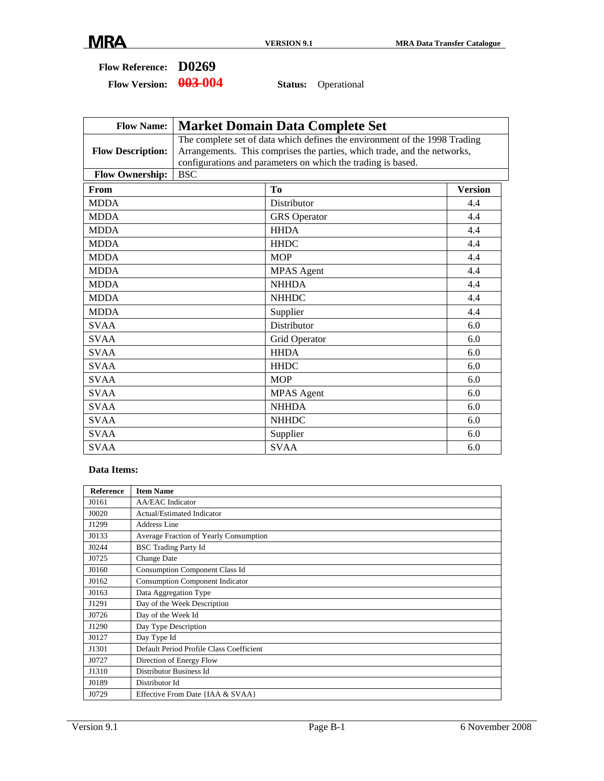| <b>Flow Reference:</b> | D0269 |
|------------------------|-------|
|------------------------|-------|

Flow Version:  $\frac{0.03 - 0.04}{0.04}$  Status: Operational

| <b>Flow Name:</b>        | <b>Market Domain Data Complete Set</b> |                                                                                                                                                                                                                        |                |  |  |  |  |  |  |  |  |  |
|--------------------------|----------------------------------------|------------------------------------------------------------------------------------------------------------------------------------------------------------------------------------------------------------------------|----------------|--|--|--|--|--|--|--|--|--|
| <b>Flow Description:</b> |                                        | The complete set of data which defines the environment of the 1998 Trading<br>Arrangements. This comprises the parties, which trade, and the networks,<br>configurations and parameters on which the trading is based. |                |  |  |  |  |  |  |  |  |  |
| <b>Flow Ownership:</b>   | <b>BSC</b>                             |                                                                                                                                                                                                                        |                |  |  |  |  |  |  |  |  |  |
| From                     |                                        | To                                                                                                                                                                                                                     | <b>Version</b> |  |  |  |  |  |  |  |  |  |
| <b>MDDA</b>              |                                        | Distributor                                                                                                                                                                                                            | 4.4            |  |  |  |  |  |  |  |  |  |
| <b>MDDA</b>              |                                        | <b>GRS</b> Operator                                                                                                                                                                                                    | 4.4            |  |  |  |  |  |  |  |  |  |
| <b>MDDA</b>              |                                        | <b>HHDA</b>                                                                                                                                                                                                            | 4.4            |  |  |  |  |  |  |  |  |  |
| <b>MDDA</b>              |                                        | <b>HHDC</b>                                                                                                                                                                                                            | 4.4            |  |  |  |  |  |  |  |  |  |
| <b>MDDA</b>              |                                        | <b>MOP</b>                                                                                                                                                                                                             | 4.4            |  |  |  |  |  |  |  |  |  |
| <b>MDDA</b>              |                                        | <b>MPAS</b> Agent                                                                                                                                                                                                      | 4.4            |  |  |  |  |  |  |  |  |  |
| <b>MDDA</b>              |                                        | <b>NHHDA</b>                                                                                                                                                                                                           | 4.4            |  |  |  |  |  |  |  |  |  |
| <b>MDDA</b>              |                                        | <b>NHHDC</b>                                                                                                                                                                                                           | 4.4            |  |  |  |  |  |  |  |  |  |
| <b>MDDA</b>              |                                        | Supplier                                                                                                                                                                                                               | 4.4            |  |  |  |  |  |  |  |  |  |
| <b>SVAA</b>              |                                        | Distributor                                                                                                                                                                                                            | 6.0            |  |  |  |  |  |  |  |  |  |
| <b>SVAA</b>              |                                        | Grid Operator                                                                                                                                                                                                          | 6.0            |  |  |  |  |  |  |  |  |  |
| <b>SVAA</b>              |                                        | <b>HHDA</b>                                                                                                                                                                                                            | 6.0            |  |  |  |  |  |  |  |  |  |
| <b>SVAA</b>              |                                        | <b>HHDC</b>                                                                                                                                                                                                            | 6.0            |  |  |  |  |  |  |  |  |  |
| <b>SVAA</b>              |                                        | <b>MOP</b>                                                                                                                                                                                                             | 6.0            |  |  |  |  |  |  |  |  |  |
| <b>SVAA</b>              |                                        | <b>MPAS</b> Agent                                                                                                                                                                                                      | 6.0            |  |  |  |  |  |  |  |  |  |
| <b>SVAA</b>              |                                        | <b>NHHDA</b>                                                                                                                                                                                                           | 6.0            |  |  |  |  |  |  |  |  |  |
| <b>SVAA</b>              |                                        | <b>NHHDC</b>                                                                                                                                                                                                           | 6.0            |  |  |  |  |  |  |  |  |  |
| <b>SVAA</b>              |                                        | Supplier                                                                                                                                                                                                               | 6.0            |  |  |  |  |  |  |  |  |  |
| <b>SVAA</b>              |                                        | <b>SVAA</b>                                                                                                                                                                                                            | 6.0            |  |  |  |  |  |  |  |  |  |

#### **Data Items:**

| <b>Reference</b> | <b>Item Name</b>                         |
|------------------|------------------------------------------|
| J0161            | <b>AA/EAC</b> Indicator                  |
| J0020            | Actual/Estimated Indicator               |
| J1299            | Address Line                             |
| J0133            | Average Fraction of Yearly Consumption   |
| J0244            | <b>BSC Trading Party Id</b>              |
| J0725            | <b>Change Date</b>                       |
| J0160            | <b>Consumption Component Class Id</b>    |
| J0162            | <b>Consumption Component Indicator</b>   |
| J0163            | Data Aggregation Type                    |
| J1291            | Day of the Week Description              |
| J0726            | Day of the Week Id                       |
| J1290            | Day Type Description                     |
| J0127            | Day Type Id                              |
| J1301            | Default Period Profile Class Coefficient |
| J0727            | Direction of Energy Flow                 |
| J1310            | Distributor Business Id                  |
| J0189            | Distributor Id                           |
| J0729            | Effective From Date {IAA & SVAA}         |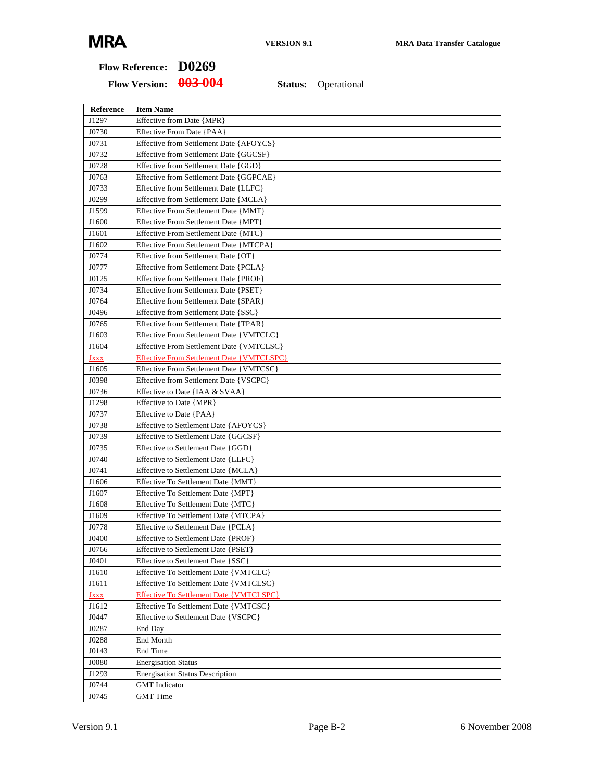| Reference   | <b>Item Name</b>                                 |
|-------------|--------------------------------------------------|
| J1297       | Effective from Date {MPR}                        |
| J0730       | Effective From Date {PAA}                        |
| J0731       | Effective from Settlement Date {AFOYCS}          |
| J0732       | Effective from Settlement Date {GGCSF}           |
| J0728       | Effective from Settlement Date {GGD}             |
| J0763       | Effective from Settlement Date {GGPCAE}          |
| J0733       | Effective from Settlement Date {LLFC}            |
| J0299       | Effective from Settlement Date {MCLA}            |
| J1599       | Effective From Settlement Date {MMT}             |
| J1600       | Effective From Settlement Date {MPT}             |
| J1601       | Effective From Settlement Date {MTC}             |
| J1602       | Effective From Settlement Date {MTCPA}           |
| J0774       | Effective from Settlement Date {OT}              |
| J0777       | Effective from Settlement Date {PCLA}            |
| J0125       | Effective from Settlement Date {PROF}            |
| J0734       | Effective from Settlement Date {PSET}            |
| J0764       | Effective from Settlement Date {SPAR}            |
| J0496       | Effective from Settlement Date {SSC}             |
| J0765       | Effective from Settlement Date {TPAR}            |
| J1603       | Effective From Settlement Date {VMTCLC}          |
| J1604       | Effective From Settlement Date {VMTCLSC}         |
| <b>Jxxx</b> | <b>Effective From Settlement Date {VMTCLSPC}</b> |
| J1605       | Effective From Settlement Date {VMTCSC}          |
| J0398       | Effective from Settlement Date {VSCPC}           |
| J0736       | Effective to Date {IAA & SVAA}                   |
| J1298       | Effective to Date {MPR}                          |
| J0737       | Effective to Date {PAA}                          |
| J0738       | Effective to Settlement Date {AFOYCS}            |
| J0739       | Effective to Settlement Date {GGCSF}             |
| J0735       | Effective to Settlement Date {GGD}               |
| J0740       | Effective to Settlement Date {LLFC}              |
| J0741       | Effective to Settlement Date {MCLA}              |
| J1606       | Effective To Settlement Date {MMT}               |
| J1607       | Effective To Settlement Date {MPT}               |
| J1608       | Effective To Settlement Date {MTC}               |
| J1609       | Effective To Settlement Date {MTCPA}             |
| J0778       | Effective to Settlement Date {PCLA}              |
| J0400       | Effective to Settlement Date {PROF}              |
| J0766       | Effective to Settlement Date {PSET}              |
| J0401       | Effective to Settlement Date {SSC}               |
| J1610       | Effective To Settlement Date {VMTCLC}            |
| J1611       | Effective To Settlement Date {VMTCLSC}           |
| <u>Jxxx</u> | Effective To Settlement Date {VMTCLSPC}          |
| J1612       | Effective To Settlement Date {VMTCSC}            |
| J0447       | Effective to Settlement Date {VSCPC}             |
| J0287       | End Day                                          |
| J0288       | End Month                                        |
| J0143       | End Time                                         |
| J0080       | <b>Energisation Status</b>                       |
| J1293       | <b>Energisation Status Description</b>           |
| J0744       | <b>GMT</b> Indicator                             |
| J0745       | <b>GMT</b> Time                                  |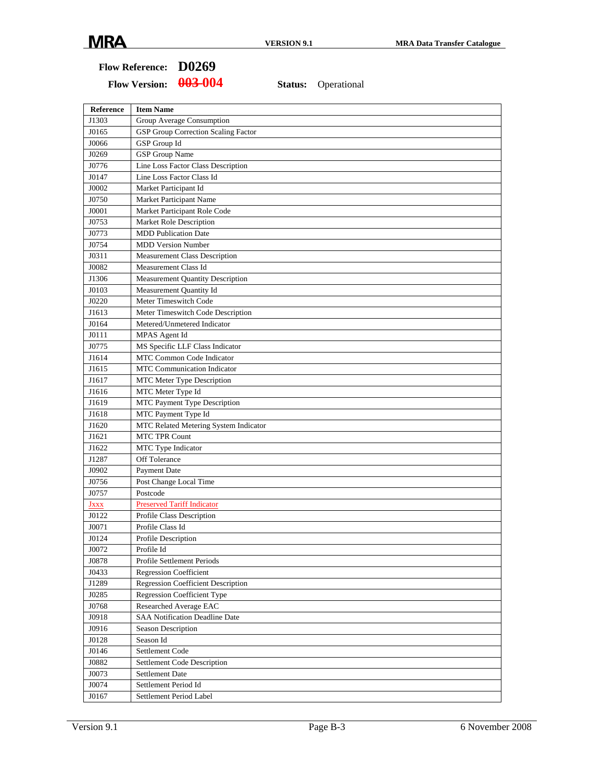| <b>Reference</b> | <b>Item Name</b>                          |
|------------------|-------------------------------------------|
| J1303            | Group Average Consumption                 |
| J0165            | GSP Group Correction Scaling Factor       |
| J0066            | GSP Group Id                              |
| J0269            | <b>GSP</b> Group Name                     |
| J0776            | Line Loss Factor Class Description        |
| J0147            | Line Loss Factor Class Id                 |
| J0002            | Market Participant Id                     |
| J0750            | Market Participant Name                   |
| J0001            | Market Participant Role Code              |
| J0753            | Market Role Description                   |
| J0773            | <b>MDD</b> Publication Date               |
| J0754            | <b>MDD Version Number</b>                 |
| J0311            | <b>Measurement Class Description</b>      |
| J0082            | Measurement Class Id                      |
| J1306            | <b>Measurement Quantity Description</b>   |
| J0103            | Measurement Quantity Id                   |
| J0220            | Meter Timeswitch Code                     |
| J1613            | Meter Timeswitch Code Description         |
| J0164            | Metered/Unmetered Indicator               |
| J0111            | MPAS Agent Id                             |
| J0775            | MS Specific LLF Class Indicator           |
| J1614            | <b>MTC Common Code Indicator</b>          |
| J1615            | <b>MTC Communication Indicator</b>        |
| J1617            | MTC Meter Type Description                |
| J1616            | MTC Meter Type Id                         |
| J1619            | MTC Payment Type Description              |
| J1618            | MTC Payment Type Id                       |
| J1620            | MTC Related Metering System Indicator     |
| J1621            | <b>MTC TPR Count</b>                      |
| J1622            | MTC Type Indicator                        |
| J1287            | Off Tolerance                             |
| J0902            | Payment Date                              |
| J0756            | Post Change Local Time                    |
| J0757            | Postcode                                  |
| <b>JXXX</b>      | <b>Preserved Tariff Indicator</b>         |
| J0122            | Profile Class Description                 |
| J0071            | Profile Class Id                          |
| J0124            | Profile Description                       |
| J0072            | Profile Id                                |
| J0878            | Profile Settlement Periods                |
| J0433            | <b>Regression Coefficient</b>             |
| J1289            | <b>Regression Coefficient Description</b> |
| J0285            | Regression Coefficient Type               |
| J0768            | Researched Average EAC                    |
| J0918            | <b>SAA Notification Deadline Date</b>     |
| J0916            | Season Description                        |
| J0128            | Season Id                                 |
| J0146            | Settlement Code                           |
| J0882            | Settlement Code Description               |
| J0073            | <b>Settlement Date</b>                    |
| J0074            | Settlement Period Id                      |
| J0167            | Settlement Period Label                   |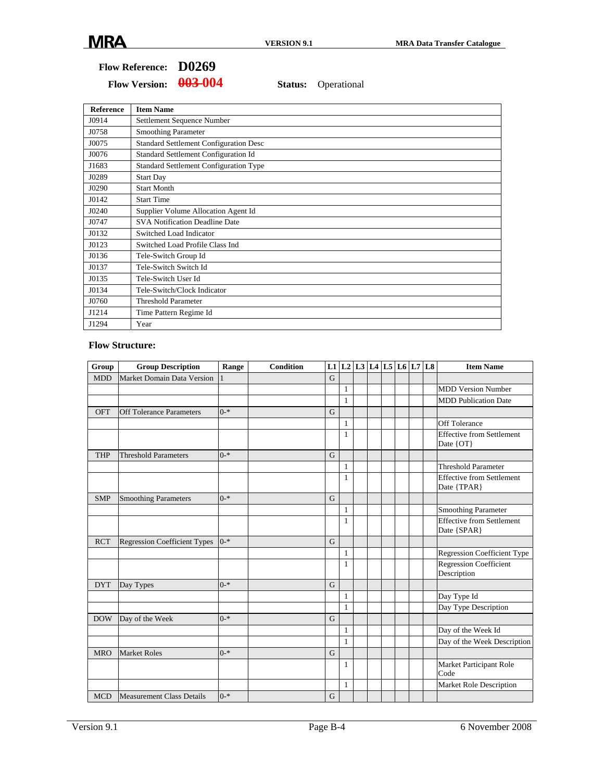Flow Version:  $\frac{0.03 - 0.04}{0.04}$  Status: Operational

| <b>Reference</b> | <b>Item Name</b>                              |
|------------------|-----------------------------------------------|
| J0914            | Settlement Sequence Number                    |
| J0758            | <b>Smoothing Parameter</b>                    |
| J0075            | <b>Standard Settlement Configuration Desc</b> |
| J0076            | Standard Settlement Configuration Id          |
| J1683            | <b>Standard Settlement Configuration Type</b> |
| J0289            | <b>Start Day</b>                              |
| J0290            | <b>Start Month</b>                            |
| J0142            | <b>Start Time</b>                             |
| J0240            | Supplier Volume Allocation Agent Id           |
| J0747            | <b>SVA Notification Deadline Date</b>         |
| J0132            | Switched Load Indicator                       |
| J0123            | Switched Load Profile Class Ind               |
| J0136            | Tele-Switch Group Id                          |
| J0137            | Tele-Switch Switch Id                         |
| J0135            | Tele-Switch User Id                           |
| J0134            | Tele-Switch/Clock Indicator                   |
| J0760            | <b>Threshold Parameter</b>                    |
| J1214            | Time Pattern Regime Id                        |
| J1294            | Year                                          |

#### **Flow Structure:**

| Group      | <b>Group Description</b>            | Range   | <b>Condition</b> |   |              | L1   L2   L3   L4   L5   L6   L7 |  |  | L <sub>8</sub> | <b>Item Name</b>                                |
|------------|-------------------------------------|---------|------------------|---|--------------|----------------------------------|--|--|----------------|-------------------------------------------------|
| <b>MDD</b> | Market Domain Data Version          |         |                  | G |              |                                  |  |  |                |                                                 |
|            |                                     |         |                  |   | 1            |                                  |  |  |                | <b>MDD Version Number</b>                       |
|            |                                     |         |                  |   | $\mathbf{1}$ |                                  |  |  |                | <b>MDD</b> Publication Date                     |
| OFT        | <b>Off Tolerance Parameters</b>     | $0 - *$ |                  | G |              |                                  |  |  |                |                                                 |
|            |                                     |         |                  |   | $\mathbf{1}$ |                                  |  |  |                | <b>Off Tolerance</b>                            |
|            |                                     |         |                  |   | 1            |                                  |  |  |                | <b>Effective from Settlement</b><br>Date {OT}   |
| <b>THP</b> | <b>Threshold Parameters</b>         | $0 - *$ |                  | G |              |                                  |  |  |                |                                                 |
|            |                                     |         |                  |   | 1            |                                  |  |  |                | <b>Threshold Parameter</b>                      |
|            |                                     |         |                  |   | $\mathbf{1}$ |                                  |  |  |                | <b>Effective from Settlement</b><br>Date {TPAR} |
| <b>SMP</b> | <b>Smoothing Parameters</b>         | $0 - *$ |                  | G |              |                                  |  |  |                |                                                 |
|            |                                     |         |                  |   | $\mathbf{1}$ |                                  |  |  |                | <b>Smoothing Parameter</b>                      |
|            |                                     |         |                  |   | 1            |                                  |  |  |                | <b>Effective from Settlement</b><br>Date {SPAR} |
| <b>RCT</b> | <b>Regression Coefficient Types</b> | $0 - *$ |                  | G |              |                                  |  |  |                |                                                 |
|            |                                     |         |                  |   | 1            |                                  |  |  |                | <b>Regression Coefficient Type</b>              |
|            |                                     |         |                  |   | 1            |                                  |  |  |                | <b>Regression Coefficient</b><br>Description    |
| <b>DYT</b> | Day Types                           | $0 - *$ |                  | G |              |                                  |  |  |                |                                                 |
|            |                                     |         |                  |   | 1            |                                  |  |  |                | Day Type Id                                     |
|            |                                     |         |                  |   | $\mathbf{1}$ |                                  |  |  |                | Day Type Description                            |
| <b>DOW</b> | Day of the Week                     | $0 - *$ |                  | G |              |                                  |  |  |                |                                                 |
|            |                                     |         |                  |   | $\mathbf{1}$ |                                  |  |  |                | Day of the Week Id                              |
|            |                                     |         |                  |   | $\mathbf{1}$ |                                  |  |  |                | Day of the Week Description                     |
| <b>MRO</b> | <b>Market Roles</b>                 | $0 - *$ |                  | G |              |                                  |  |  |                |                                                 |
|            |                                     |         |                  |   | 1            |                                  |  |  |                | Market Participant Role<br>Code                 |
|            |                                     |         |                  |   | $\mathbf{1}$ |                                  |  |  |                | Market Role Description                         |
| <b>MCD</b> | <b>Measurement Class Details</b>    | $0 - *$ |                  | G |              |                                  |  |  |                |                                                 |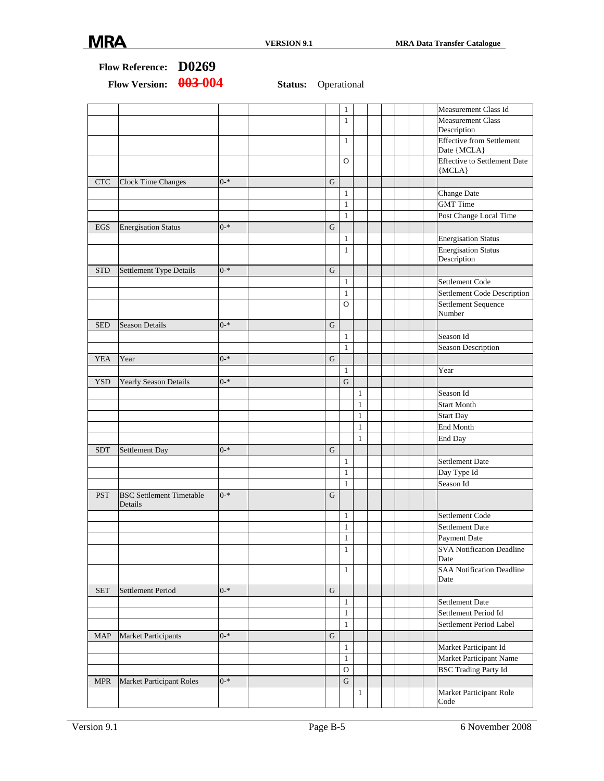|            | Flow Reference: D0269                      |         |                            |             |               |              |  |  |                                                 |
|------------|--------------------------------------------|---------|----------------------------|-------------|---------------|--------------|--|--|-------------------------------------------------|
|            | 003-004<br><b>Flow Version:</b>            |         | <b>Status:</b> Operational |             |               |              |  |  |                                                 |
|            |                                            |         |                            |             | $\mathbf{1}$  |              |  |  | Measurement Class Id                            |
|            |                                            |         |                            |             | $\mathbf{1}$  |              |  |  | <b>Measurement Class</b><br>Description         |
|            |                                            |         |                            |             | $\mathbf{1}$  |              |  |  | <b>Effective from Settlement</b><br>Date {MCLA} |
|            |                                            |         |                            |             | $\mathbf{O}$  |              |  |  | <b>Effective to Settlement Date</b><br>${MCLA}$ |
| <b>CTC</b> | Clock Time Changes                         | $0 - *$ |                            | G           |               |              |  |  |                                                 |
|            |                                            |         |                            |             | $\mathbf{1}$  |              |  |  | Change Date                                     |
|            |                                            |         |                            |             | $\mathbf{1}$  |              |  |  | <b>GMT</b> Time                                 |
|            |                                            |         |                            |             | $\mathbf{1}$  |              |  |  | Post Change Local Time                          |
| EGS        | <b>Energisation Status</b>                 | $0 - *$ |                            | G           |               |              |  |  |                                                 |
|            |                                            |         |                            |             | $\mathbf{1}$  |              |  |  | <b>Energisation Status</b>                      |
|            |                                            |         |                            |             | $\mathbf{1}$  |              |  |  | <b>Energisation Status</b>                      |
|            |                                            |         |                            |             |               |              |  |  | Description                                     |
| <b>STD</b> | Settlement Type Details                    | $0 - *$ |                            | G           |               |              |  |  |                                                 |
|            |                                            |         |                            |             | $\mathbf{1}$  |              |  |  | Settlement Code                                 |
|            |                                            |         |                            |             | $\mathbf{1}$  |              |  |  | Settlement Code Description                     |
|            |                                            |         |                            |             | $\Omega$      |              |  |  | Settlement Sequence<br>Number                   |
| <b>SED</b> | <b>Season Details</b>                      | $0 - *$ |                            | G           |               |              |  |  |                                                 |
|            |                                            |         |                            |             | $\mathbf{1}$  |              |  |  | Season Id                                       |
|            |                                            |         |                            |             | $\mathbf{1}$  |              |  |  | Season Description                              |
| <b>YEA</b> | Year                                       | $0 - *$ |                            | G           |               |              |  |  |                                                 |
|            |                                            |         |                            |             | $\mathbf{1}$  |              |  |  | Year                                            |
| <b>YSD</b> | <b>Yearly Season Details</b>               | $0 - *$ |                            |             | $\mathbf G$   |              |  |  |                                                 |
|            |                                            |         |                            |             |               | $\mathbf{1}$ |  |  | Season Id                                       |
|            |                                            |         |                            |             |               | $\mathbf{1}$ |  |  | <b>Start Month</b>                              |
|            |                                            |         |                            |             |               | $\mathbf{1}$ |  |  | <b>Start Day</b>                                |
|            |                                            |         |                            |             |               | $\mathbf{1}$ |  |  | End Month                                       |
|            |                                            |         |                            |             |               | 1            |  |  | End Day                                         |
| <b>SDT</b> | Settlement Day                             | $0 - *$ |                            | $\mathbf G$ |               |              |  |  |                                                 |
|            |                                            |         |                            |             | $\mathbf{1}$  |              |  |  | Settlement Date                                 |
|            |                                            |         |                            |             | $\mathbf{1}$  |              |  |  |                                                 |
|            |                                            |         |                            |             |               |              |  |  | Day Type Id                                     |
|            |                                            |         |                            |             | $\mathbf{1}$  |              |  |  | Season Id                                       |
| <b>PST</b> | <b>BSC</b> Settlement Timetable<br>Details | $0 - *$ |                            | ${\bf G}$   |               |              |  |  |                                                 |
|            |                                            |         |                            |             | $\mathbf{1}$  |              |  |  | Settlement Code                                 |
|            |                                            |         |                            |             | $\mathbf{1}$  |              |  |  | <b>Settlement Date</b>                          |
|            |                                            |         |                            |             | $\mathbf{1}$  |              |  |  | Payment Date                                    |
|            |                                            |         |                            |             | $\mathbf{1}$  |              |  |  | <b>SVA Notification Deadline</b>                |
|            |                                            |         |                            |             |               |              |  |  | Date                                            |
|            |                                            |         |                            |             | $\mathbf{1}$  |              |  |  | <b>SAA Notification Deadline</b>                |
|            |                                            |         |                            |             |               |              |  |  | Date                                            |
| <b>SET</b> | Settlement Period                          | $0 - *$ |                            | $\mathbf G$ |               |              |  |  |                                                 |
|            |                                            |         |                            |             | $\mathbf{1}$  |              |  |  | <b>Settlement Date</b>                          |
|            |                                            |         |                            |             | $\mathbf{1}$  |              |  |  | Settlement Period Id                            |
|            |                                            |         |                            |             | $\mathbf{1}$  |              |  |  | Settlement Period Label                         |
| <b>MAP</b> | <b>Market Participants</b>                 | $0 - *$ |                            | $\mathbf G$ |               |              |  |  |                                                 |
|            |                                            |         |                            |             | $\mathbf{1}$  |              |  |  | Market Participant Id                           |
|            |                                            |         |                            |             | $\mathbf{1}$  |              |  |  | Market Participant Name                         |
|            |                                            |         |                            |             | $\mathcal{O}$ |              |  |  | <b>BSC Trading Party Id</b>                     |
| <b>MPR</b> | <b>Market Participant Roles</b>            | $0 - *$ |                            |             | G             |              |  |  |                                                 |
|            |                                            |         |                            |             |               | $\mathbf{1}$ |  |  | Market Participant Role                         |
|            |                                            |         |                            |             |               |              |  |  | Code                                            |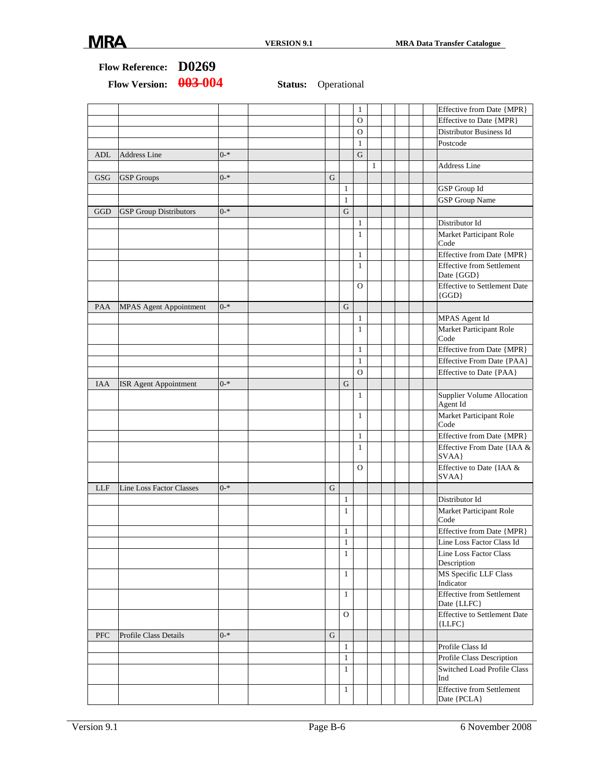|            |                                 |         |             |                | 1            |              |  | Effective from Date {MPR}                        |
|------------|---------------------------------|---------|-------------|----------------|--------------|--------------|--|--------------------------------------------------|
|            |                                 |         |             |                | 0            |              |  | Effective to Date {MPR}                          |
|            |                                 |         |             |                | O            |              |  | Distributor Business Id                          |
|            |                                 |         |             |                | $\mathbf{1}$ |              |  | Postcode                                         |
| <b>ADL</b> | <b>Address Line</b>             | $0 - *$ |             |                | G            |              |  |                                                  |
|            |                                 |         |             |                |              | $\mathbf{1}$ |  | <b>Address Line</b>                              |
| <b>GSG</b> | <b>GSP</b> Groups               | $0 - *$ | G           |                |              |              |  |                                                  |
|            |                                 |         |             | $\mathbf{1}$   |              |              |  | GSP Group Id                                     |
|            |                                 |         |             | $\mathbf{1}$   |              |              |  | <b>GSP</b> Group Name                            |
| GGD        | <b>GSP</b> Group Distributors   | $0 - *$ |             | G              |              |              |  |                                                  |
|            |                                 |         |             |                | $\mathbf{1}$ |              |  | Distributor Id                                   |
|            |                                 |         |             |                | $\mathbf{1}$ |              |  | Market Participant Role<br>Code                  |
|            |                                 |         |             |                | $\mathbf{1}$ |              |  | Effective from Date {MPR}                        |
|            |                                 |         |             |                | $\mathbf{1}$ |              |  | <b>Effective from Settlement</b><br>Date {GGD}   |
|            |                                 |         |             |                | $\circ$      |              |  | <b>Effective to Settlement Date</b><br>$\{GGD\}$ |
| PAA        | <b>MPAS Agent Appointment</b>   | $0 - *$ |             | $\mathbf G$    |              |              |  |                                                  |
|            |                                 |         |             |                | $\mathbf{1}$ |              |  | MPAS Agent Id                                    |
|            |                                 |         |             |                | $\mathbf{1}$ |              |  | Market Participant Role<br>Code                  |
|            |                                 |         |             |                | $\mathbf{1}$ |              |  | Effective from Date {MPR}                        |
|            |                                 |         |             |                | $\mathbf{1}$ |              |  | Effective From Date {PAA}                        |
|            |                                 |         |             |                | $\mathbf{O}$ |              |  | Effective to Date {PAA}                          |
| IAA        | ISR Agent Appointment           | $0 - *$ |             | G              |              |              |  |                                                  |
|            |                                 |         |             |                | $\mathbf{1}$ |              |  | Supplier Volume Allocation<br>Agent Id           |
|            |                                 |         |             |                | $\mathbf{1}$ |              |  | Market Participant Role<br>Code                  |
|            |                                 |         |             |                | $\mathbf{1}$ |              |  | Effective from Date {MPR}                        |
|            |                                 |         |             |                | $\mathbf{1}$ |              |  | Effective From Date {IAA &<br>SVAA}              |
|            |                                 |         |             |                | $\circ$      |              |  | Effective to Date {IAA &<br>SVAA}                |
| <b>LLF</b> | <b>Line Loss Factor Classes</b> | $0 - *$ | G           |                |              |              |  |                                                  |
|            |                                 |         |             | $\mathbf{1}$   |              |              |  | Distributor Id                                   |
|            |                                 |         |             | $\mathbf{1}$   |              |              |  | Market Participant Role<br>Code                  |
|            |                                 |         |             | $\mathbf{1}$   |              |              |  | Effective from Date {MPR}                        |
|            |                                 |         |             | $\mathbf{1}$   |              |              |  | Line Loss Factor Class Id                        |
|            |                                 |         |             | $\mathbf{1}$   |              |              |  | Line Loss Factor Class<br>Description            |
|            |                                 |         |             | $\mathbf{1}$   |              |              |  | MS Specific LLF Class<br>Indicator               |
|            |                                 |         |             | $\mathbf{1}$   |              |              |  | <b>Effective from Settlement</b><br>Date {LLFC}  |
|            |                                 |         |             | $\overline{O}$ |              |              |  | <b>Effective to Settlement Date</b><br>${LLFC}$  |
| <b>PFC</b> | Profile Class Details           | $0 - *$ | $\mathbf G$ |                |              |              |  |                                                  |
|            |                                 |         |             | $\mathbf{1}$   |              |              |  | Profile Class Id                                 |
|            |                                 |         |             | $\mathbf{1}$   |              |              |  | Profile Class Description                        |
|            |                                 |         |             | $\mathbf{1}$   |              |              |  | <b>Switched Load Profile Class</b><br>Ind        |
|            |                                 |         |             | $\mathbf{1}$   |              |              |  | <b>Effective from Settlement</b><br>Date {PCLA}  |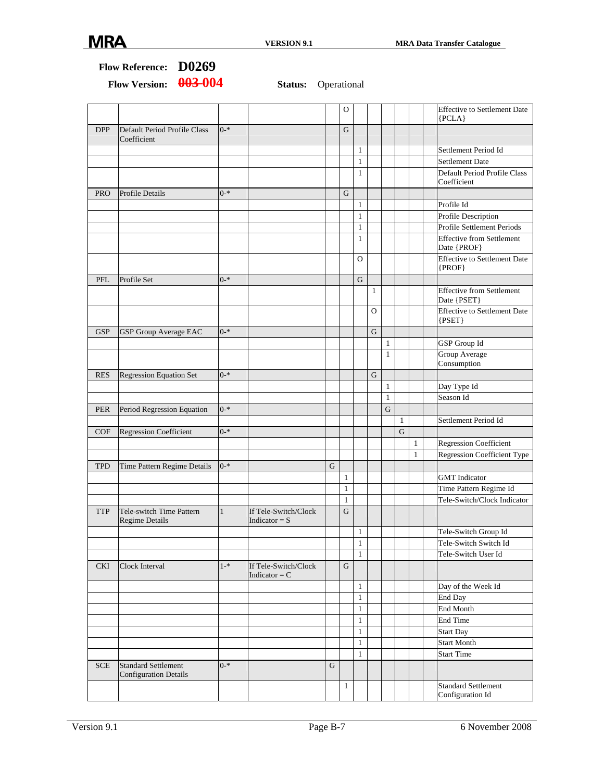|            |                                                            |              |                                         |   | O            |              |                |              |                |              | <b>Effective to Settlement Date</b><br>${PCLA}$   |
|------------|------------------------------------------------------------|--------------|-----------------------------------------|---|--------------|--------------|----------------|--------------|----------------|--------------|---------------------------------------------------|
| <b>DPP</b> | Default Period Profile Class<br>Coefficient                | $0 - *$      |                                         |   | G            |              |                |              |                |              |                                                   |
|            |                                                            |              |                                         |   |              | $\mathbf{1}$ |                |              |                |              | Settlement Period Id                              |
|            |                                                            |              |                                         |   |              | $\mathbf{1}$ |                |              |                |              | <b>Settlement Date</b>                            |
|            |                                                            |              |                                         |   |              | $\mathbf{1}$ |                |              |                |              | Default Period Profile Class<br>Coefficient       |
| <b>PRO</b> | <b>Profile Details</b>                                     | $0 - *$      |                                         |   | G            |              |                |              |                |              |                                                   |
|            |                                                            |              |                                         |   |              | $\mathbf{1}$ |                |              |                |              | Profile Id                                        |
|            |                                                            |              |                                         |   |              | $\mathbf{1}$ |                |              |                |              | Profile Description                               |
|            |                                                            |              |                                         |   |              | 1            |                |              |                |              | Profile Settlement Periods                        |
|            |                                                            |              |                                         |   |              | $\mathbf{1}$ |                |              |                |              | <b>Effective from Settlement</b><br>Date {PROF}   |
|            |                                                            |              |                                         |   |              | O            |                |              |                |              | <b>Effective to Settlement Date</b><br>$\{PROF\}$ |
| PFL        | Profile Set                                                | $0 - *$      |                                         |   |              | ${\bf G}$    |                |              |                |              |                                                   |
|            |                                                            |              |                                         |   |              |              | $\mathbf{1}$   |              |                |              | <b>Effective from Settlement</b><br>Date {PSET}   |
|            |                                                            |              |                                         |   |              |              | $\overline{O}$ |              |                |              | <b>Effective to Settlement Date</b><br>${PSET}$   |
| <b>GSP</b> | <b>GSP Group Average EAC</b>                               | $0 - *$      |                                         |   |              |              | G              |              |                |              |                                                   |
|            |                                                            |              |                                         |   |              |              |                | $\mathbf{1}$ |                |              | GSP Group Id                                      |
|            |                                                            |              |                                         |   |              |              |                | $\mathbf{1}$ |                |              | Group Average<br>Consumption                      |
| <b>RES</b> | <b>Regression Equation Set</b>                             | $0 - *$      |                                         |   |              |              | G              |              |                |              |                                                   |
|            |                                                            |              |                                         |   |              |              |                | $\mathbf{1}$ |                |              | Day Type Id                                       |
|            |                                                            |              |                                         |   |              |              |                | $\mathbf{1}$ |                |              | Season Id                                         |
| <b>PER</b> | Period Regression Equation                                 | $0 - *$      |                                         |   |              |              |                | ${\bf G}$    |                |              |                                                   |
|            |                                                            |              |                                         |   |              |              |                |              | $\mathbf{1}$   |              | Settlement Period Id                              |
| COF        | Regression Coefficient                                     | $0 - *$      |                                         |   |              |              |                |              | $\overline{G}$ |              |                                                   |
|            |                                                            |              |                                         |   |              |              |                |              |                | $\mathbf{1}$ | Regression Coefficient                            |
|            |                                                            |              |                                         |   |              |              |                |              |                | $\mathbf{1}$ | <b>Regression Coefficient Type</b>                |
| <b>TPD</b> | Time Pattern Regime Details                                | $0 - *$      |                                         | G |              |              |                |              |                |              |                                                   |
|            |                                                            |              |                                         |   | $\mathbf{1}$ |              |                |              |                |              | <b>GMT</b> Indicator                              |
|            |                                                            |              |                                         |   | $\mathbf{1}$ |              |                |              |                |              | Time Pattern Regime Id                            |
|            |                                                            |              |                                         |   | $\mathbf{1}$ |              |                |              |                |              | Tele-Switch/Clock Indicator                       |
| <b>TTP</b> | Tele-switch Time Pattern<br><b>Regime Details</b>          | $\mathbf{1}$ | If Tele-Switch/Clock<br>Indicator = $S$ |   | G            |              |                |              |                |              |                                                   |
|            |                                                            |              |                                         |   |              | 1            |                |              |                |              | Tele-Switch Group Id                              |
|            |                                                            |              |                                         |   |              | $\mathbf{1}$ |                |              |                |              | Tele-Switch Switch Id                             |
|            |                                                            |              |                                         |   |              | $\mathbf{1}$ |                |              |                |              | Tele-Switch User Id                               |
| <b>CKI</b> | Clock Interval                                             | $1 - *$      | If Tele-Switch/Clock<br>Indicator = $C$ |   | G            |              |                |              |                |              |                                                   |
|            |                                                            |              |                                         |   |              | $\mathbf{1}$ |                |              |                |              | Day of the Week Id                                |
|            |                                                            |              |                                         |   |              | $\mathbf{1}$ |                |              |                |              | End Day                                           |
|            |                                                            |              |                                         |   |              | $\mathbf{1}$ |                |              |                |              | End Month                                         |
|            |                                                            |              |                                         |   |              | $\mathbf{1}$ |                |              |                |              | End Time                                          |
|            |                                                            |              |                                         |   |              | $\mathbf{1}$ |                |              |                |              | <b>Start Day</b>                                  |
|            |                                                            |              |                                         |   |              | 1            |                |              |                |              | <b>Start Month</b>                                |
|            |                                                            |              |                                         |   |              | 1            |                |              |                |              | <b>Start Time</b>                                 |
| <b>SCE</b> | <b>Standard Settlement</b><br><b>Configuration Details</b> | $0 - *$      |                                         | G |              |              |                |              |                |              |                                                   |
|            |                                                            |              |                                         |   | 1            |              |                |              |                |              | <b>Standard Settlement</b><br>Configuration Id    |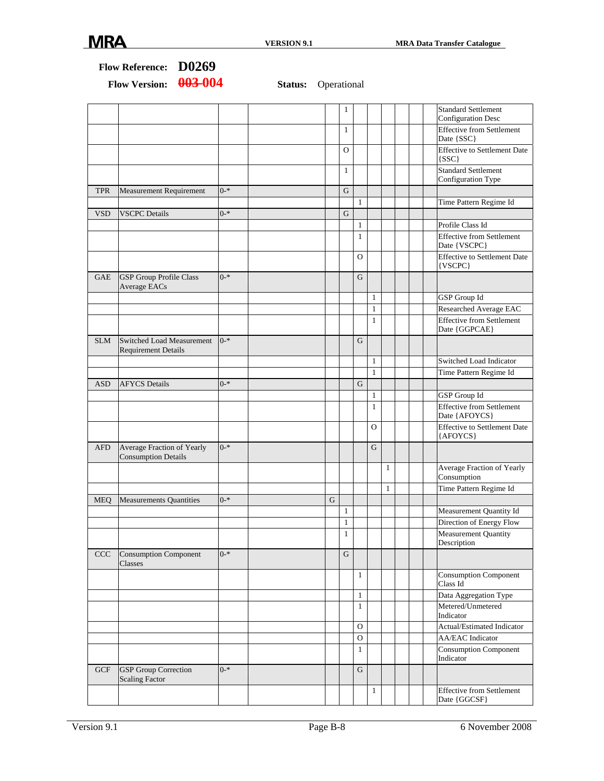|            | Flow Reference: D0269                                    |         |                            |                              |                              |                |              |                                                         |
|------------|----------------------------------------------------------|---------|----------------------------|------------------------------|------------------------------|----------------|--------------|---------------------------------------------------------|
|            | 003-004<br><b>Flow Version:</b>                          |         | <b>Status:</b> Operational |                              |                              |                |              |                                                         |
|            |                                                          |         |                            | 1                            |                              |                |              | <b>Standard Settlement</b><br><b>Configuration Desc</b> |
|            |                                                          |         |                            | $\mathbf{1}$                 |                              |                |              | <b>Effective from Settlement</b><br>Date {SSC}          |
|            |                                                          |         |                            | O                            |                              |                |              | <b>Effective to Settlement Date</b><br>${SSC}$          |
|            |                                                          |         |                            | $\mathbf{1}$                 |                              |                |              | <b>Standard Settlement</b><br>Configuration Type        |
| <b>TPR</b> | <b>Measurement Requirement</b>                           | $0 - *$ |                            | G                            | $\mathbf{1}$                 |                |              | Time Pattern Regime Id                                  |
| <b>VSD</b> | <b>VSCPC</b> Details                                     | $0 - *$ |                            | G                            |                              |                |              |                                                         |
|            |                                                          |         |                            |                              | $\mathbf{1}$                 |                |              | Profile Class Id                                        |
|            |                                                          |         |                            |                              | 1                            |                |              | <b>Effective from Settlement</b><br>Date {VSCPC}        |
|            |                                                          |         |                            |                              | $\Omega$                     |                |              | <b>Effective to Settlement Date</b><br>{VSCPC}          |
| GAE        | <b>GSP</b> Group Profile Class<br>Average EACs           | $0 - *$ |                            |                              | G                            |                |              |                                                         |
|            |                                                          |         |                            |                              |                              | $\mathbf{1}$   |              | GSP Group Id                                            |
|            |                                                          |         |                            |                              |                              | $\mathbf{1}$   |              | Researched Average EAC                                  |
|            |                                                          |         |                            |                              |                              | $\mathbf{1}$   |              | <b>Effective from Settlement</b><br>Date {GGPCAE}       |
| <b>SLM</b> | Switched Load Measurement<br><b>Requirement Details</b>  | $0 - *$ |                            |                              | G                            |                |              |                                                         |
|            |                                                          |         |                            |                              |                              | $\mathbf{1}$   |              | Switched Load Indicator                                 |
|            |                                                          |         |                            |                              |                              | $\mathbf{1}$   |              | Time Pattern Regime Id                                  |
| <b>ASD</b> | <b>AFYCS</b> Details                                     | $0 - *$ |                            |                              | G                            |                |              |                                                         |
|            |                                                          |         |                            |                              |                              | $\mathbf{1}$   |              | GSP Group Id                                            |
|            |                                                          |         |                            |                              |                              | $\mathbf{1}$   |              | <b>Effective from Settlement</b><br>Date {AFOYCS}       |
|            |                                                          |         |                            |                              |                              | $\overline{O}$ |              | <b>Effective to Settlement Date</b><br>{AFOYCS}         |
| <b>AFD</b> | Average Fraction of Yearly<br><b>Consumption Details</b> | $0 - *$ |                            |                              |                              | G              |              |                                                         |
|            |                                                          |         |                            |                              |                              |                | 1            | Average Fraction of Yearly<br>Consumption               |
|            |                                                          |         |                            |                              |                              |                | $\mathbf{1}$ | Time Pattern Regime Id                                  |
| MEQ        | <b>Measurements Quantities</b>                           | $0 - *$ | G                          |                              |                              |                |              |                                                         |
|            |                                                          |         |                            | $\mathbf{1}$                 |                              |                |              | Measurement Quantity Id                                 |
|            |                                                          |         |                            | $\mathbf{1}$<br>$\mathbf{1}$ |                              |                |              | Direction of Energy Flow<br><b>Measurement Quantity</b> |
|            |                                                          |         |                            |                              |                              |                |              | Description                                             |
| CCC        | <b>Consumption Component</b><br>Classes                  | $0 - *$ |                            | ${\bf G}$                    |                              |                |              |                                                         |
|            |                                                          |         |                            |                              | $\mathbf{1}$                 |                |              | <b>Consumption Component</b><br>Class Id                |
|            |                                                          |         |                            |                              | $\mathbf{1}$                 |                |              | Data Aggregation Type                                   |
|            |                                                          |         |                            |                              | $\mathbf{1}$                 |                |              | Metered/Unmetered<br>Indicator                          |
|            |                                                          |         |                            |                              | $\mathbf{O}$                 |                |              | Actual/Estimated Indicator                              |
|            |                                                          |         |                            |                              | $\mathbf{O}$<br>$\mathbf{1}$ |                |              | <b>AA/EAC</b> Indicator<br><b>Consumption Component</b> |
|            |                                                          |         |                            |                              |                              |                |              | Indicator                                               |
| <b>GCF</b> | <b>GSP</b> Group Correction<br><b>Scaling Factor</b>     | $0 - *$ |                            |                              | ${\bf G}$                    |                |              |                                                         |
|            |                                                          |         |                            |                              |                              | $\mathbf{1}$   |              | <b>Effective from Settlement</b><br>Date {GGCSF}        |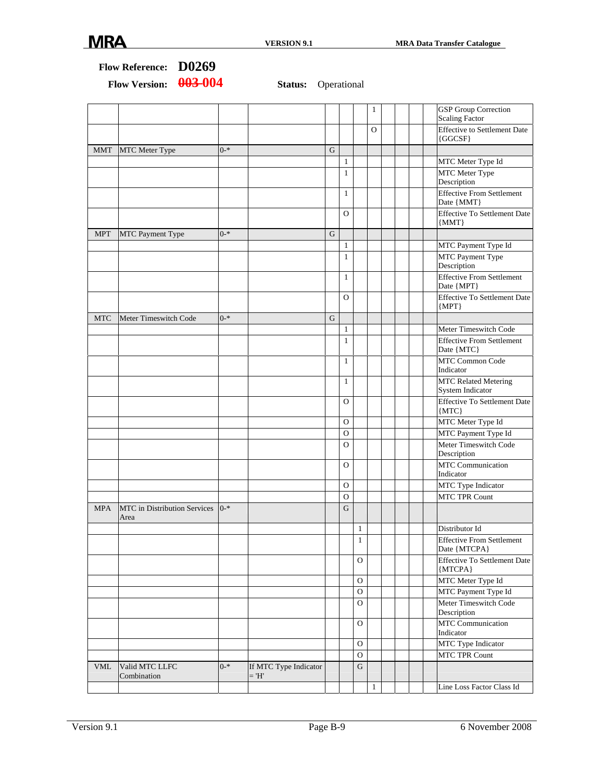|            | 003-004<br><b>Flow Version:</b>            |         | <b>Status:</b> Operational       |             |              |              |              |  |                                                      |
|------------|--------------------------------------------|---------|----------------------------------|-------------|--------------|--------------|--------------|--|------------------------------------------------------|
|            |                                            |         |                                  |             |              |              | 1            |  | <b>GSP</b> Group Correction<br><b>Scaling Factor</b> |
|            |                                            |         |                                  |             |              |              | O            |  | <b>Effective to Settlement Date</b><br>${GGCSF}$     |
| <b>MMT</b> | <b>MTC</b> Meter Type                      | $0 - *$ |                                  | G           |              |              |              |  |                                                      |
|            |                                            |         |                                  |             | $\mathbf{1}$ |              |              |  | MTC Meter Type Id                                    |
|            |                                            |         |                                  |             | $\mathbf{1}$ |              |              |  | MTC Meter Type<br>Description                        |
|            |                                            |         |                                  |             | $\mathbf{1}$ |              |              |  | <b>Effective From Settlement</b><br>Date {MMT}       |
|            |                                            |         |                                  |             | $\Omega$     |              |              |  | <b>Effective To Settlement Date</b><br>${MMT}$       |
| <b>MPT</b> | MTC Payment Type                           | $0 - *$ |                                  | G           |              |              |              |  |                                                      |
|            |                                            |         |                                  |             | $\mathbf{1}$ |              |              |  | MTC Payment Type Id                                  |
|            |                                            |         |                                  |             | $\mathbf{1}$ |              |              |  | MTC Payment Type<br>Description                      |
|            |                                            |         |                                  |             | $\mathbf{1}$ |              |              |  | <b>Effective From Settlement</b><br>Date {MPT}       |
|            |                                            |         |                                  |             | O            |              |              |  | <b>Effective To Settlement Date</b><br>${MPT}$       |
| <b>MTC</b> | Meter Timeswitch Code                      | $0 - *$ |                                  | $\mathbf G$ |              |              |              |  |                                                      |
|            |                                            |         |                                  |             | $\mathbf{1}$ |              |              |  | Meter Timeswitch Code                                |
|            |                                            |         |                                  |             | $\mathbf{1}$ |              |              |  | <b>Effective From Settlement</b><br>Date {MTC}       |
|            |                                            |         |                                  |             | $\mathbf{1}$ |              |              |  | MTC Common Code<br>Indicator                         |
|            |                                            |         |                                  |             | $\mathbf{1}$ |              |              |  | <b>MTC Related Metering</b><br>System Indicator      |
|            |                                            |         |                                  |             | O            |              |              |  | <b>Effective To Settlement Date</b><br>${MTC}$       |
|            |                                            |         |                                  |             | 0            |              |              |  | MTC Meter Type Id                                    |
|            |                                            |         |                                  |             | O            |              |              |  | MTC Payment Type Id                                  |
|            |                                            |         |                                  |             | $\Omega$     |              |              |  | Meter Timeswitch Code<br>Description                 |
|            |                                            |         |                                  |             | $\mathbf{O}$ |              |              |  | <b>MTC</b> Communication<br>Indicator                |
|            |                                            |         |                                  |             | O            |              |              |  | MTC Type Indicator                                   |
|            |                                            |         |                                  |             | O            |              |              |  | <b>MTC TPR Count</b>                                 |
| <b>MPA</b> | MTC in Distribution Services   0-*<br>Area |         |                                  |             | G            |              |              |  |                                                      |
|            |                                            |         |                                  |             |              | 1            |              |  | Distributor Id                                       |
|            |                                            |         |                                  |             |              | 1            |              |  | <b>Effective From Settlement</b><br>Date {MTCPA}     |
|            |                                            |         |                                  |             |              | $\Omega$     |              |  | <b>Effective To Settlement Date</b><br>${MTCPA}$     |
|            |                                            |         |                                  |             |              | $\Omega$     |              |  | MTC Meter Type Id                                    |
|            |                                            |         |                                  |             |              | $\Omega$     |              |  | MTC Payment Type Id                                  |
|            |                                            |         |                                  |             |              | $\Omega$     |              |  | Meter Timeswitch Code<br>Description                 |
|            |                                            |         |                                  |             |              | $\mathbf{O}$ |              |  | MTC Communication<br>Indicator                       |
|            |                                            |         |                                  |             |              | $\mathbf{O}$ |              |  | MTC Type Indicator                                   |
|            |                                            |         |                                  |             |              | $\mathbf O$  |              |  | MTC TPR Count                                        |
| <b>VML</b> | Valid MTC LLFC<br>Combination              | $0 - *$ | If MTC Type Indicator<br>$=$ 'H' |             |              | $\mathbf G$  |              |  |                                                      |
|            |                                            |         |                                  |             |              |              | $\mathbf{1}$ |  | Line Loss Factor Class Id                            |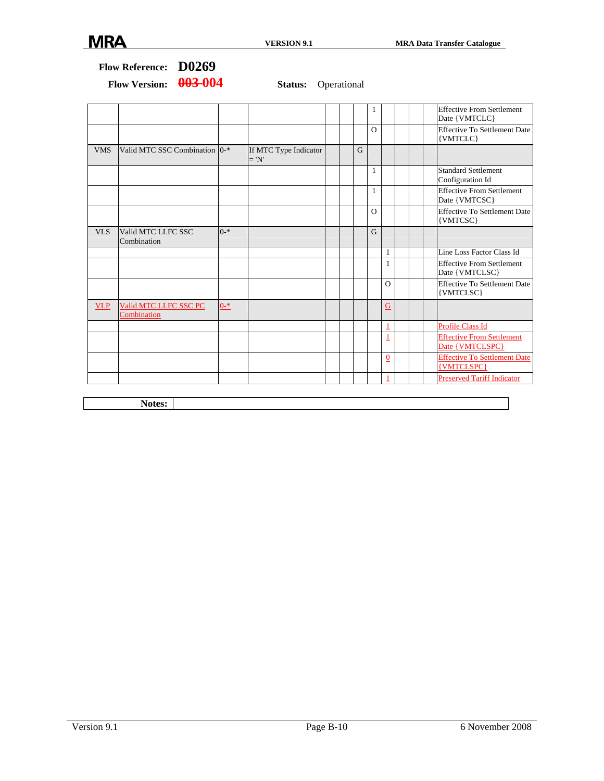|            |                                      |         |                                  |   | 1              |              | <b>Effective From Settlement</b><br>Date {VMTCLC}   |
|------------|--------------------------------------|---------|----------------------------------|---|----------------|--------------|-----------------------------------------------------|
|            |                                      |         |                                  |   | $\Omega$       |              | <b>Effective To Settlement Date</b><br>{VMTCLC}     |
| <b>VMS</b> | Valid MTC SSC Combination 0-*        |         | If MTC Type Indicator<br>$= 'N'$ | G |                |              |                                                     |
|            |                                      |         |                                  |   | $\mathbf{1}$   |              | <b>Standard Settlement</b><br>Configuration Id      |
|            |                                      |         |                                  |   | $\mathbf{1}$   |              | <b>Effective From Settlement</b><br>Date {VMTCSC}   |
|            |                                      |         |                                  |   | $\Omega$       |              | <b>Effective To Settlement Date</b><br>{VMTCSC}     |
| VLS        | Valid MTC LLFC SSC<br>Combination    | $0 - *$ |                                  |   | $\overline{G}$ |              |                                                     |
|            |                                      |         |                                  |   |                | $\mathbf{1}$ | Line Loss Factor Class Id                           |
|            |                                      |         |                                  |   |                | 1            | <b>Effective From Settlement</b><br>Date {VMTCLSC}  |
|            |                                      |         |                                  |   |                | $\Omega$     | <b>Effective To Settlement Date</b><br>{VMTCLSC}    |
| <b>VLP</b> | Valid MTC LLFC SSC PC<br>Combination | $0 - *$ |                                  |   |                | G            |                                                     |
|            |                                      |         |                                  |   |                | 1            | Profile Class Id                                    |
|            |                                      |         |                                  |   |                | 1            | <b>Effective From Settlement</b><br>Date {VMTCLSPC} |
|            |                                      |         |                                  |   |                | $\bf{0}$     | <b>Effective To Settlement Date</b><br>{VMTCLSPC}   |
|            |                                      |         |                                  |   |                | 1            | <b>Preserved Tariff Indicator</b>                   |
|            |                                      |         |                                  |   |                |              |                                                     |

| v<br>$\lambda$<br>гэ.<br>÷ |  |
|----------------------------|--|
|                            |  |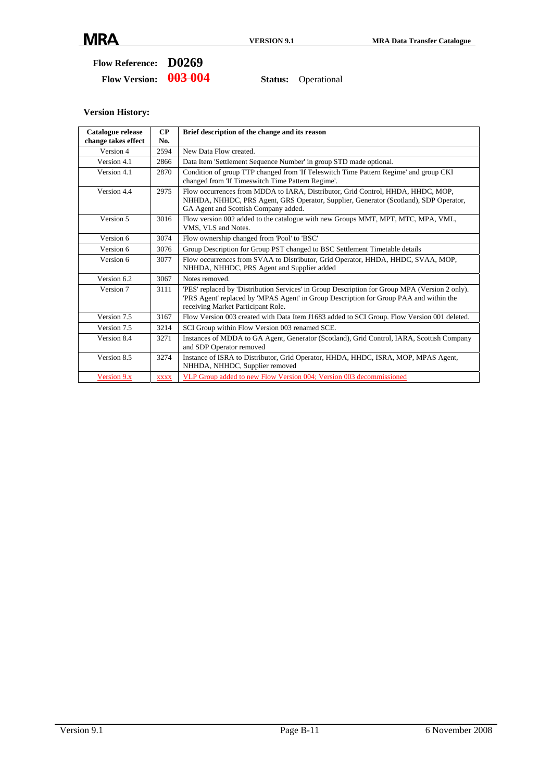**Flow Version: 003 004 Status:** Operational

| Catalogue release<br>change takes effect | CP<br>No.   | Brief description of the change and its reason                                                                                                                                                                                |
|------------------------------------------|-------------|-------------------------------------------------------------------------------------------------------------------------------------------------------------------------------------------------------------------------------|
| Version 4                                | 2594        | New Data Flow created.                                                                                                                                                                                                        |
| Version 4.1                              | 2866        | Data Item 'Settlement Sequence Number' in group STD made optional.                                                                                                                                                            |
| Version 4.1                              | 2870        | Condition of group TTP changed from 'If Teleswitch Time Pattern Regime' and group CKI<br>changed from 'If Timeswitch Time Pattern Regime'.                                                                                    |
| Version 4.4                              | 2975        | Flow occurrences from MDDA to IARA, Distributor, Grid Control, HHDA, HHDC, MOP,<br>NHHDA, NHHDC, PRS Agent, GRS Operator, Supplier, Generator (Scotland), SDP Operator,<br>GA Agent and Scottish Company added.               |
| Version 5                                | 3016        | Flow version 002 added to the catalogue with new Groups MMT, MPT, MTC, MPA, VML,<br>VMS, VLS and Notes.                                                                                                                       |
| Version 6                                | 3074        | Flow ownership changed from 'Pool' to 'BSC'                                                                                                                                                                                   |
| Version 6                                | 3076        | Group Description for Group PST changed to BSC Settlement Timetable details                                                                                                                                                   |
| Version 6                                | 3077        | Flow occurrences from SVAA to Distributor, Grid Operator, HHDA, HHDC, SVAA, MOP,<br>NHHDA, NHHDC, PRS Agent and Supplier added                                                                                                |
| Version 6.2                              | 3067        | Notes removed.                                                                                                                                                                                                                |
| Version 7                                | 3111        | 'PES' replaced by 'Distribution Services' in Group Description for Group MPA (Version 2 only).<br>PRS Agent' replaced by 'MPAS Agent' in Group Description for Group PAA and within the<br>receiving Market Participant Role. |
| Version 7.5                              | 3167        | Flow Version 003 created with Data Item J1683 added to SCI Group. Flow Version 001 deleted.                                                                                                                                   |
| Version 7.5                              | 3214        | SCI Group within Flow Version 003 renamed SCE.                                                                                                                                                                                |
| Version 8.4                              | 3271        | Instances of MDDA to GA Agent, Generator (Scotland), Grid Control, IARA, Scottish Company<br>and SDP Operator removed                                                                                                         |
| Version 8.5                              | 3274        | Instance of ISRA to Distributor, Grid Operator, HHDA, HHDC, ISRA, MOP, MPAS Agent,<br>NHHDA, NHHDC, Supplier removed                                                                                                          |
| Version 9.x                              | <b>XXXX</b> | VLP Group added to new Flow Version 004; Version 003 decommissioned                                                                                                                                                           |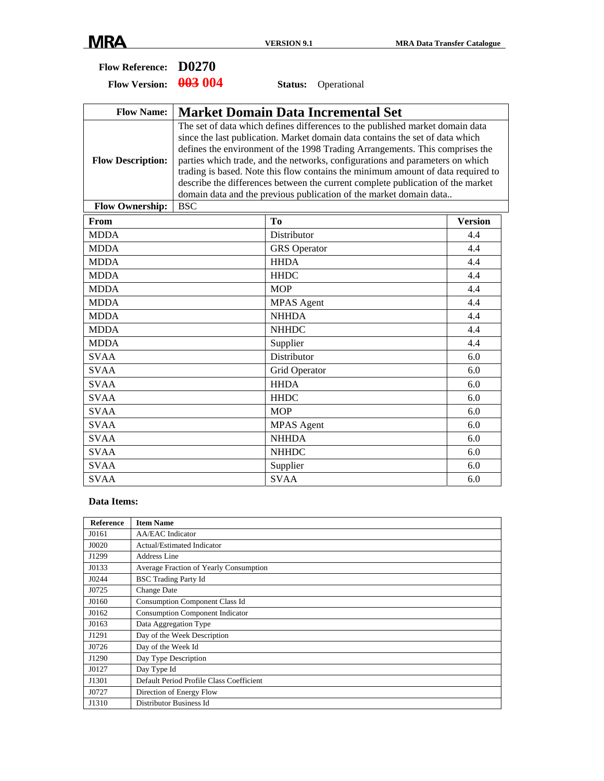| <b>Flow Reference:</b>   | D0270      |                                                                                                                                                                                                                                                                                                                                                                                                                                                                                                                                                                              |                |
|--------------------------|------------|------------------------------------------------------------------------------------------------------------------------------------------------------------------------------------------------------------------------------------------------------------------------------------------------------------------------------------------------------------------------------------------------------------------------------------------------------------------------------------------------------------------------------------------------------------------------------|----------------|
| <b>Flow Version:</b>     | 003 004    | Operational<br>Status:                                                                                                                                                                                                                                                                                                                                                                                                                                                                                                                                                       |                |
| <b>Flow Name:</b>        |            | <b>Market Domain Data Incremental Set</b>                                                                                                                                                                                                                                                                                                                                                                                                                                                                                                                                    |                |
| <b>Flow Description:</b> |            | The set of data which defines differences to the published market domain data<br>since the last publication. Market domain data contains the set of data which<br>defines the environment of the 1998 Trading Arrangements. This comprises the<br>parties which trade, and the networks, configurations and parameters on which<br>trading is based. Note this flow contains the minimum amount of data required to<br>describe the differences between the current complete publication of the market<br>domain data and the previous publication of the market domain data |                |
| <b>Flow Ownership:</b>   | <b>BSC</b> |                                                                                                                                                                                                                                                                                                                                                                                                                                                                                                                                                                              |                |
| From                     |            | T <sub>0</sub>                                                                                                                                                                                                                                                                                                                                                                                                                                                                                                                                                               | <b>Version</b> |
| <b>MDDA</b>              |            | Distributor                                                                                                                                                                                                                                                                                                                                                                                                                                                                                                                                                                  | 4.4            |
| <b>MDDA</b>              |            | <b>GRS</b> Operator                                                                                                                                                                                                                                                                                                                                                                                                                                                                                                                                                          | 4.4            |
| <b>MDDA</b>              |            | <b>HHDA</b>                                                                                                                                                                                                                                                                                                                                                                                                                                                                                                                                                                  | 4.4            |
| <b>MDDA</b>              |            | <b>HHDC</b>                                                                                                                                                                                                                                                                                                                                                                                                                                                                                                                                                                  | 4.4            |
| <b>MDDA</b>              |            | <b>MOP</b>                                                                                                                                                                                                                                                                                                                                                                                                                                                                                                                                                                   | 4.4            |
| <b>MDDA</b>              |            | <b>MPAS</b> Agent                                                                                                                                                                                                                                                                                                                                                                                                                                                                                                                                                            | 4.4            |
| <b>MDDA</b>              |            | <b>NHHDA</b>                                                                                                                                                                                                                                                                                                                                                                                                                                                                                                                                                                 | 4.4            |
| <b>MDDA</b>              |            | <b>NHHDC</b>                                                                                                                                                                                                                                                                                                                                                                                                                                                                                                                                                                 | 4.4            |
| <b>MDDA</b>              |            | Supplier                                                                                                                                                                                                                                                                                                                                                                                                                                                                                                                                                                     | 4.4            |
| <b>SVAA</b>              |            | Distributor                                                                                                                                                                                                                                                                                                                                                                                                                                                                                                                                                                  | 6.0            |
| <b>SVAA</b>              |            | Grid Operator                                                                                                                                                                                                                                                                                                                                                                                                                                                                                                                                                                | 6.0            |
| <b>SVAA</b>              |            | <b>HHDA</b>                                                                                                                                                                                                                                                                                                                                                                                                                                                                                                                                                                  | 6.0            |
| <b>SVAA</b>              |            | <b>HHDC</b>                                                                                                                                                                                                                                                                                                                                                                                                                                                                                                                                                                  | 6.0            |
| <b>SVAA</b>              |            | <b>MOP</b>                                                                                                                                                                                                                                                                                                                                                                                                                                                                                                                                                                   | 6.0            |
| <b>SVAA</b>              |            | <b>MPAS</b> Agent                                                                                                                                                                                                                                                                                                                                                                                                                                                                                                                                                            | 6.0            |
| <b>SVAA</b>              |            | <b>NHHDA</b>                                                                                                                                                                                                                                                                                                                                                                                                                                                                                                                                                                 | 6.0            |
| <b>SVAA</b>              |            | <b>NHHDC</b>                                                                                                                                                                                                                                                                                                                                                                                                                                                                                                                                                                 | 6.0            |
| <b>SVAA</b>              |            | Supplier                                                                                                                                                                                                                                                                                                                                                                                                                                                                                                                                                                     | 6.0            |
| <b>SVAA</b>              |            | <b>SVAA</b>                                                                                                                                                                                                                                                                                                                                                                                                                                                                                                                                                                  | 6.0            |

#### **Data Items:**

| <b>Reference</b> | <b>Item Name</b>                         |
|------------------|------------------------------------------|
| J0161            | <b>AA/EAC</b> Indicator                  |
| J0020            | Actual/Estimated Indicator               |
| J1299            | Address Line                             |
| J0133            | Average Fraction of Yearly Consumption   |
| J0244            | <b>BSC</b> Trading Party Id              |
| J0725            | Change Date                              |
| J0160            | <b>Consumption Component Class Id</b>    |
| J0162            | <b>Consumption Component Indicator</b>   |
| J0163            | Data Aggregation Type                    |
| J1291            | Day of the Week Description              |
| J0726            | Day of the Week Id                       |
| J1290            | Day Type Description                     |
| J0127            | Day Type Id                              |
| J1301            | Default Period Profile Class Coefficient |
| J0727            | Direction of Energy Flow                 |
| J1310            | Distributor Business Id                  |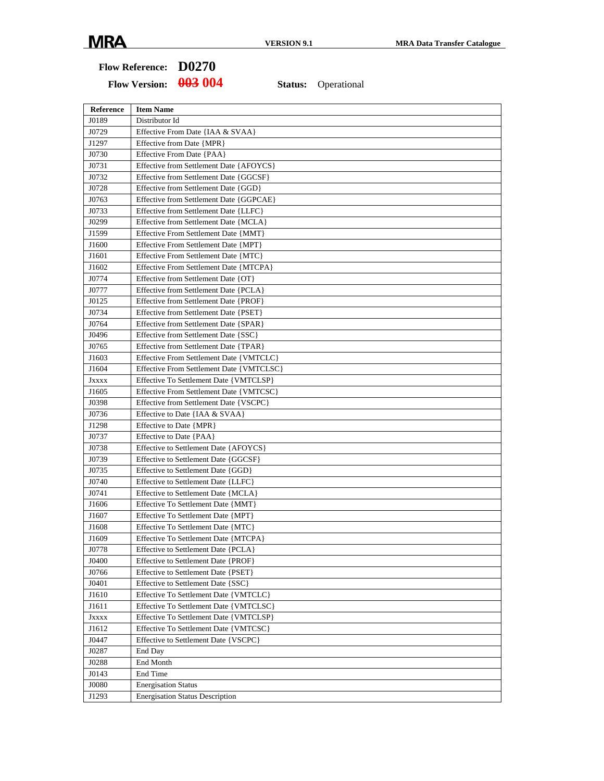## **Flow Reference: D0270**

| Reference     | <b>Item Name</b>                         |
|---------------|------------------------------------------|
| J0189         | Distributor Id                           |
| J0729         | Effective From Date {IAA & SVAA}         |
| J1297         | Effective from Date {MPR}                |
| J0730         | Effective From Date {PAA}                |
| J0731         | Effective from Settlement Date {AFOYCS}  |
| J0732         | Effective from Settlement Date {GGCSF}   |
| J0728         | Effective from Settlement Date {GGD}     |
| J0763         | Effective from Settlement Date {GGPCAE}  |
| J0733         | Effective from Settlement Date {LLFC}    |
| J0299         | Effective from Settlement Date {MCLA}    |
| J1599         | Effective From Settlement Date {MMT}     |
| J1600         | Effective From Settlement Date {MPT}     |
| J1601         | Effective From Settlement Date {MTC}     |
| J1602         | Effective From Settlement Date {MTCPA}   |
| J0774         | Effective from Settlement Date {OT}      |
| J0777         | Effective from Settlement Date {PCLA}    |
| J0125         | Effective from Settlement Date {PROF}    |
| J0734         | Effective from Settlement Date {PSET}    |
| J0764         | Effective from Settlement Date {SPAR}    |
| J0496         | Effective from Settlement Date {SSC}     |
| J0765         | Effective from Settlement Date {TPAR}    |
| J1603         | Effective From Settlement Date {VMTCLC}  |
| J1604         | Effective From Settlement Date {VMTCLSC} |
| <b>J</b> xxxx | Effective To Settlement Date {VMTCLSP}   |
| J1605         | Effective From Settlement Date {VMTCSC}  |
| J0398         | Effective from Settlement Date {VSCPC}   |
| J0736         | Effective to Date {IAA & SVAA}           |
| J1298         | Effective to Date {MPR}                  |
| J0737         | Effective to Date {PAA}                  |
| J0738         | Effective to Settlement Date {AFOYCS}    |
| J0739         | Effective to Settlement Date {GGCSF}     |
| J0735         | Effective to Settlement Date {GGD}       |
| J0740         | Effective to Settlement Date {LLFC}      |
| J0741         | Effective to Settlement Date {MCLA}      |
| J1606         | Effective To Settlement Date {MMT}       |
| J1607         | Effective To Settlement Date {MPT}       |
| J1608         | Effective To Settlement Date {MTC}       |
| J1609         | Effective To Settlement Date {MTCPA}     |
| J0778         | Effective to Settlement Date {PCLA}      |
| J0400         | Effective to Settlement Date {PROF}      |
| J0766         | Effective to Settlement Date {PSET}      |
| J0401         | Effective to Settlement Date {SSC}       |
| J1610         | Effective To Settlement Date {VMTCLC}    |
| J1611         | Effective To Settlement Date {VMTCLSC}   |
| <b>JXXXX</b>  | Effective To Settlement Date {VMTCLSP}   |
| J1612         | Effective To Settlement Date {VMTCSC}    |
| J0447         | Effective to Settlement Date {VSCPC}     |
| J0287         | End Day                                  |
| J0288         | End Month                                |
| J0143         | End Time                                 |
| J0080         | <b>Energisation Status</b>               |
| J1293         | <b>Energisation Status Description</b>   |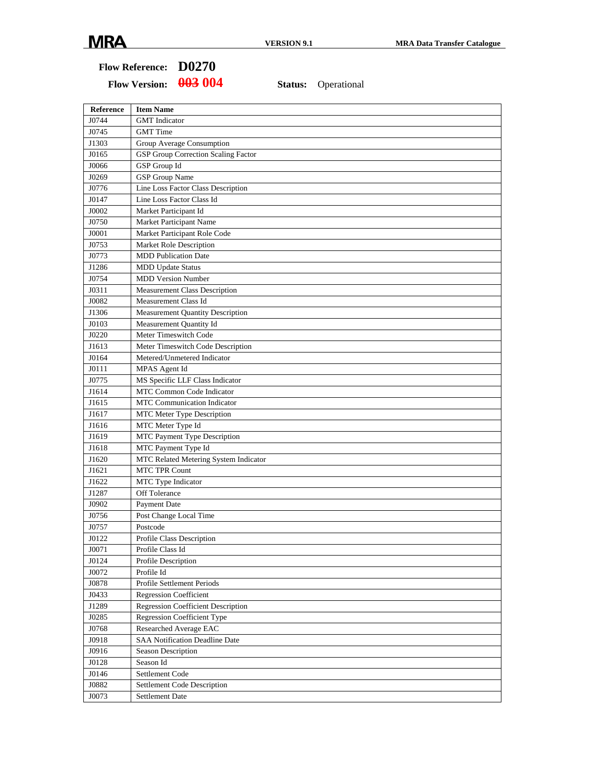## **Flow Reference: D0270**

| <b>Reference</b> | <b>Item Name</b>                           |
|------------------|--------------------------------------------|
| J0744            | <b>GMT</b> Indicator                       |
| J0745            | <b>GMT</b> Time                            |
| J1303            | Group Average Consumption                  |
| J0165            | <b>GSP Group Correction Scaling Factor</b> |
| J0066            | <b>GSP</b> Group Id                        |
| J0269            | <b>GSP</b> Group Name                      |
| J0776            | Line Loss Factor Class Description         |
| J0147            | Line Loss Factor Class Id                  |
| J0002            | Market Participant Id                      |
| J0750            | <b>Market Participant Name</b>             |
| J0001            | Market Participant Role Code               |
| J0753            | Market Role Description                    |
| J0773            | <b>MDD Publication Date</b>                |
| J1286            | <b>MDD Update Status</b>                   |
| J0754            | <b>MDD Version Number</b>                  |
| J0311            | <b>Measurement Class Description</b>       |
| J0082            | Measurement Class Id                       |
| J1306            | <b>Measurement Quantity Description</b>    |
| J0103            | Measurement Quantity Id                    |
| J0220            | Meter Timeswitch Code                      |
| J1613            | Meter Timeswitch Code Description          |
| J0164            | Metered/Unmetered Indicator                |
| J0111            | MPAS Agent Id                              |
| J0775            | MS Specific LLF Class Indicator            |
| J1614            | MTC Common Code Indicator                  |
| J1615            | <b>MTC Communication Indicator</b>         |
| J1617            | MTC Meter Type Description                 |
| J1616            | MTC Meter Type Id                          |
| J1619            | MTC Payment Type Description               |
| J1618            | MTC Payment Type Id                        |
| J1620            | MTC Related Metering System Indicator      |
| J1621            | <b>MTC TPR Count</b>                       |
| J1622            | MTC Type Indicator                         |
| J1287            | Off Tolerance                              |
| J0902            | <b>Payment Date</b>                        |
| J0756            | Post Change Local Time                     |
| J0757            | Postcode                                   |
| J0122            | Profile Class Description                  |
| J0071            | Profile Class Id                           |
| J0124            | Profile Description                        |
| J0072            | Profile Id                                 |
| J0878            | Profile Settlement Periods                 |
| J0433            | <b>Regression Coefficient</b>              |
| J1289            | <b>Regression Coefficient Description</b>  |
| J0285            | Regression Coefficient Type                |
| J0768            | Researched Average EAC                     |
| J0918            | SAA Notification Deadline Date             |
| J0916            | Season Description                         |
| J0128            | Season Id                                  |
| J0146            | Settlement Code                            |
| J0882            | <b>Settlement Code Description</b>         |
| J0073            | Settlement Date                            |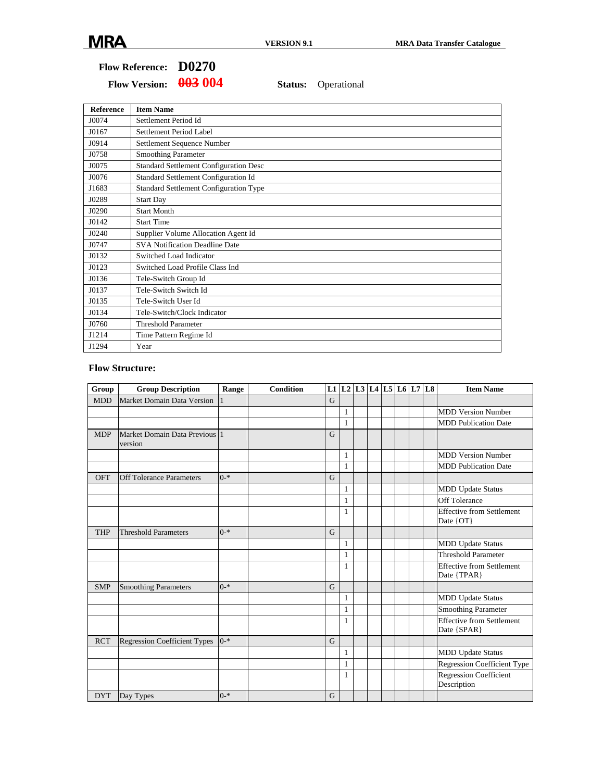## **Flow Reference: D0270**

Flow Version:  $\frac{0.03}{0.04}$  Status: Operational

| <b>Reference</b> | <b>Item Name</b>                              |
|------------------|-----------------------------------------------|
| J0074            | Settlement Period Id                          |
| J0167            | Settlement Period Label                       |
| J0914            | Settlement Sequence Number                    |
| J0758            | <b>Smoothing Parameter</b>                    |
| J0075            | <b>Standard Settlement Configuration Desc</b> |
| J0076            | Standard Settlement Configuration Id          |
| J1683            | <b>Standard Settlement Configuration Type</b> |
| J0289            | <b>Start Day</b>                              |
| J0290            | <b>Start Month</b>                            |
| J0142            | <b>Start Time</b>                             |
| J0240            | Supplier Volume Allocation Agent Id           |
| J0747            | <b>SVA Notification Deadline Date</b>         |
| J0132            | Switched Load Indicator                       |
| J0123            | Switched Load Profile Class Ind               |
| J0136            | Tele-Switch Group Id                          |
| J0137            | Tele-Switch Switch Id                         |
| J0135            | Tele-Switch User Id                           |
| J0134            | Tele-Switch/Clock Indicator                   |
| J0760            | <b>Threshold Parameter</b>                    |
| J1214            | Time Pattern Regime Id                        |
| J1294            | Year                                          |

#### **Flow Structure:**

| Group      | <b>Group Description</b>                 | Range   | <b>Condition</b> |   |              |  | L1 $ L2 L3 L4 L5 L6 L7 L8$ |  | <b>Item Name</b>                                |
|------------|------------------------------------------|---------|------------------|---|--------------|--|----------------------------|--|-------------------------------------------------|
| <b>MDD</b> | Market Domain Data Version               |         |                  | G |              |  |                            |  |                                                 |
|            |                                          |         |                  |   | 1            |  |                            |  | <b>MDD Version Number</b>                       |
|            |                                          |         |                  |   | 1            |  |                            |  | <b>MDD</b> Publication Date                     |
| <b>MDP</b> | Market Domain Data Previous 1<br>version |         |                  | G |              |  |                            |  |                                                 |
|            |                                          |         |                  |   | $\mathbf{1}$ |  |                            |  | <b>MDD Version Number</b>                       |
|            |                                          |         |                  |   | 1            |  |                            |  | <b>MDD</b> Publication Date                     |
| OFT        | <b>Off Tolerance Parameters</b>          | $0 - *$ |                  | G |              |  |                            |  |                                                 |
|            |                                          |         |                  |   | $\mathbf{1}$ |  |                            |  | <b>MDD Update Status</b>                        |
|            |                                          |         |                  |   | $\mathbf{1}$ |  |                            |  | Off Tolerance                                   |
|            |                                          |         |                  |   | 1            |  |                            |  | <b>Effective from Settlement</b><br>Date {OT}   |
| <b>THP</b> | <b>Threshold Parameters</b>              | $0 - *$ |                  | G |              |  |                            |  |                                                 |
|            |                                          |         |                  |   | 1            |  |                            |  | <b>MDD Update Status</b>                        |
|            |                                          |         |                  |   | $\mathbf{1}$ |  |                            |  | <b>Threshold Parameter</b>                      |
|            |                                          |         |                  |   | $\mathbf{1}$ |  |                            |  | <b>Effective from Settlement</b><br>Date {TPAR} |
| <b>SMP</b> | <b>Smoothing Parameters</b>              | $0 - *$ |                  | G |              |  |                            |  |                                                 |
|            |                                          |         |                  |   | 1            |  |                            |  | <b>MDD Update Status</b>                        |
|            |                                          |         |                  |   | 1            |  |                            |  | <b>Smoothing Parameter</b>                      |
|            |                                          |         |                  |   | 1            |  |                            |  | <b>Effective from Settlement</b><br>Date {SPAR} |
| <b>RCT</b> | <b>Regression Coefficient Types</b>      | $0 - *$ |                  | G |              |  |                            |  |                                                 |
|            |                                          |         |                  |   | 1            |  |                            |  | <b>MDD</b> Update Status                        |
|            |                                          |         |                  |   | 1            |  |                            |  | Regression Coefficient Type                     |
|            |                                          |         |                  |   | $\mathbf{1}$ |  |                            |  | <b>Regression Coefficient</b><br>Description    |
| <b>DYT</b> | Day Types                                | $0 - *$ |                  | G |              |  |                            |  |                                                 |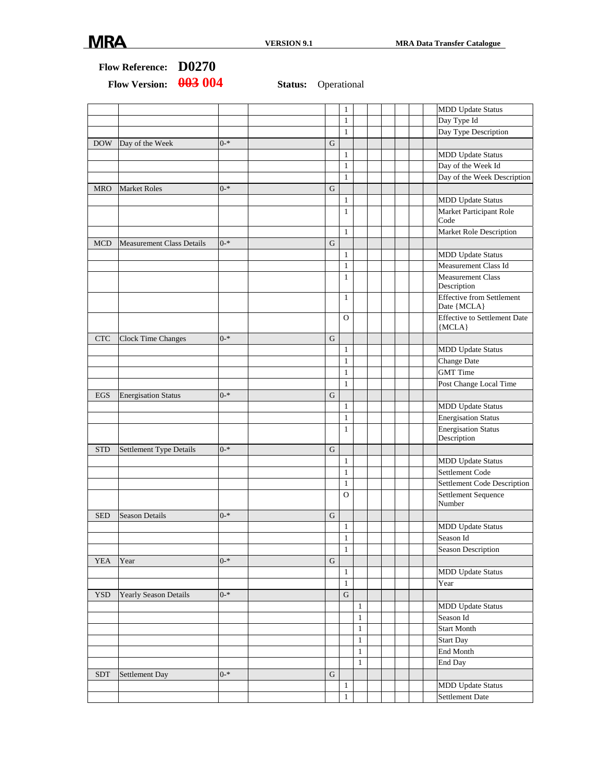#### **Flow Reference: D0270**

|            |                                  |         |             | $\mathbf{1}$ |              |  | <b>MDD Update Status</b>                        |
|------------|----------------------------------|---------|-------------|--------------|--------------|--|-------------------------------------------------|
|            |                                  |         |             | $\mathbf{1}$ |              |  | Day Type Id                                     |
|            |                                  |         |             | $\mathbf{1}$ |              |  | Day Type Description                            |
| <b>DOW</b> | Day of the Week                  | $0 - *$ | G           |              |              |  |                                                 |
|            |                                  |         |             | $\mathbf{1}$ |              |  | <b>MDD</b> Update Status                        |
|            |                                  |         |             | $\mathbf{1}$ |              |  | Day of the Week Id                              |
|            |                                  |         |             | $\mathbf{1}$ |              |  | Day of the Week Description                     |
| <b>MRO</b> | <b>Market Roles</b>              | $0 - *$ | $\mathbf G$ |              |              |  |                                                 |
|            |                                  |         |             | $\mathbf{1}$ |              |  | <b>MDD</b> Update Status                        |
|            |                                  |         |             | $\mathbf{1}$ |              |  | Market Participant Role                         |
|            |                                  |         |             |              |              |  | Code                                            |
|            |                                  |         |             | $\mathbf{1}$ |              |  | Market Role Description                         |
| <b>MCD</b> | <b>Measurement Class Details</b> | $0 - *$ | G           |              |              |  |                                                 |
|            |                                  |         |             | $\mathbf{1}$ |              |  | <b>MDD Update Status</b>                        |
|            |                                  |         |             | $\mathbf{1}$ |              |  | Measurement Class Id                            |
|            |                                  |         |             | $\mathbf{1}$ |              |  | <b>Measurement Class</b><br>Description         |
|            |                                  |         |             | $\mathbf{1}$ |              |  | <b>Effective from Settlement</b><br>Date {MCLA} |
|            |                                  |         |             | $\Omega$     |              |  | <b>Effective to Settlement Date</b><br>${MCLA}$ |
| <b>CTC</b> |                                  | $0 - *$ | $\mathbf G$ |              |              |  |                                                 |
|            | <b>Clock Time Changes</b>        |         |             |              |              |  |                                                 |
|            |                                  |         |             | $\mathbf{1}$ |              |  | <b>MDD Update Status</b>                        |
|            |                                  |         |             | $\mathbf{1}$ |              |  | Change Date                                     |
|            |                                  |         |             | $\mathbf{1}$ |              |  | <b>GMT</b> Time                                 |
|            |                                  |         |             | $\mathbf{1}$ |              |  | Post Change Local Time                          |
| EGS        | <b>Energisation Status</b>       | $0 - *$ | G           |              |              |  |                                                 |
|            |                                  |         |             | $\mathbf{1}$ |              |  | <b>MDD Update Status</b>                        |
|            |                                  |         |             | $\mathbf{1}$ |              |  | <b>Energisation Status</b>                      |
|            |                                  |         |             | $\mathbf{1}$ |              |  | <b>Energisation Status</b><br>Description       |
| <b>STD</b> | Settlement Type Details          | $0 - *$ | $\mathbf G$ |              |              |  |                                                 |
|            |                                  |         |             | $\mathbf{1}$ |              |  | <b>MDD Update Status</b>                        |
|            |                                  |         |             | $\mathbf{1}$ |              |  | Settlement Code                                 |
|            |                                  |         |             | $\mathbf{1}$ |              |  | Settlement Code Description                     |
|            |                                  |         |             | $\Omega$     |              |  | Settlement Sequence<br>Number                   |
| <b>SED</b> | <b>Season Details</b>            | $0 - *$ | G           |              |              |  |                                                 |
|            |                                  |         |             | $\mathbf{1}$ |              |  | <b>MDD Update Status</b>                        |
|            |                                  |         |             | $\mathbf{1}$ |              |  | Season Id                                       |
|            |                                  |         |             | $\mathbf{1}$ |              |  | <b>Season Description</b>                       |
| <b>YEA</b> | Year                             | $0 - *$ | $\mathbf G$ |              |              |  |                                                 |
|            |                                  |         |             | $\mathbf{1}$ |              |  | <b>MDD</b> Update Status                        |
|            |                                  |         |             | $\mathbf{1}$ |              |  | Year                                            |
| <b>YSD</b> | Yearly Season Details            | $0 - *$ |             | ${\bf G}$    |              |  |                                                 |
|            |                                  |         |             |              | 1            |  | <b>MDD Update Status</b>                        |
|            |                                  |         |             |              | $\mathbf{1}$ |  | Season Id                                       |
|            |                                  |         |             |              | 1            |  | <b>Start Month</b>                              |
|            |                                  |         |             |              | $\mathbf{1}$ |  | <b>Start Day</b>                                |
|            |                                  |         |             |              | $\mathbf{1}$ |  | End Month                                       |
|            |                                  |         |             |              | $\mathbf{1}$ |  | End Day                                         |
| <b>SDT</b> | Settlement Day                   | $0 - *$ | $\mathbf G$ |              |              |  |                                                 |
|            |                                  |         |             | $\mathbf{1}$ |              |  | <b>MDD</b> Update Status                        |
|            |                                  |         |             | $\mathbf{1}$ |              |  | Settlement Date                                 |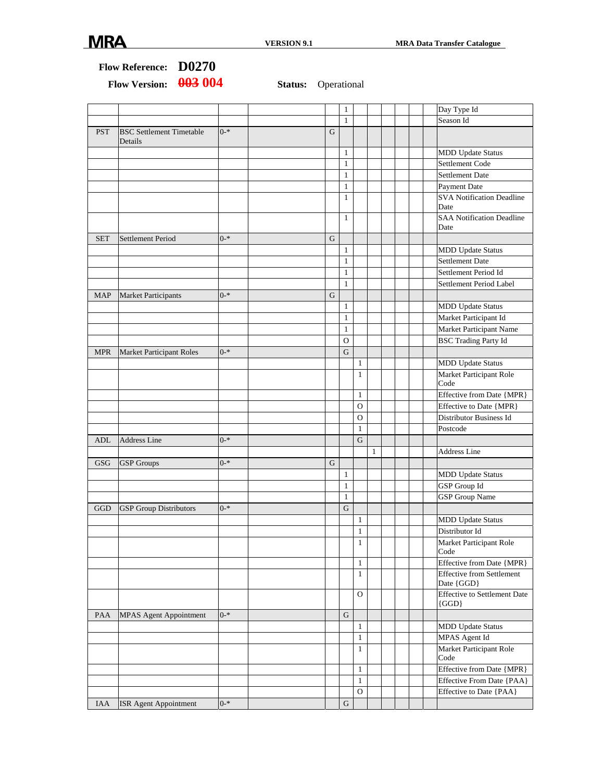|            |                                            |         |             | $\mathbf{1}$   |                   |              |  | Day Type Id                                      |
|------------|--------------------------------------------|---------|-------------|----------------|-------------------|--------------|--|--------------------------------------------------|
|            |                                            |         |             | $\mathbf{1}$   |                   |              |  | Season Id                                        |
| <b>PST</b> | <b>BSC Settlement Timetable</b><br>Details | $0 - *$ | $\mathbf G$ |                |                   |              |  |                                                  |
|            |                                            |         |             | $\mathbf{1}$   |                   |              |  | <b>MDD Update Status</b>                         |
|            |                                            |         |             | $\mathbf{1}$   |                   |              |  | Settlement Code                                  |
|            |                                            |         |             | $\mathbf{1}$   |                   |              |  | <b>Settlement Date</b>                           |
|            |                                            |         |             | $\mathbf{1}$   |                   |              |  | Payment Date                                     |
|            |                                            |         |             | $\mathbf{1}$   |                   |              |  | <b>SVA Notification Deadline</b><br>Date         |
|            |                                            |         |             | $\mathbf{1}$   |                   |              |  | <b>SAA Notification Deadline</b><br>Date         |
| <b>SET</b> | Settlement Period                          | $0 - *$ | G           |                |                   |              |  |                                                  |
|            |                                            |         |             | 1              |                   |              |  | <b>MDD</b> Update Status                         |
|            |                                            |         |             | $\mathbf{1}$   |                   |              |  | <b>Settlement Date</b>                           |
|            |                                            |         |             | $\mathbf{1}$   |                   |              |  | Settlement Period Id                             |
|            |                                            |         |             | $\mathbf{1}$   |                   |              |  | Settlement Period Label                          |
| <b>MAP</b> | Market Participants                        | $0 - *$ | G           |                |                   |              |  |                                                  |
|            |                                            |         |             | $\mathbf{1}$   |                   |              |  | <b>MDD Update Status</b>                         |
|            |                                            |         |             | $\mathbf{1}$   |                   |              |  | Market Participant Id                            |
|            |                                            |         |             | $\mathbf{1}$   |                   |              |  | Market Participant Name                          |
|            |                                            |         |             | $\overline{O}$ |                   |              |  | <b>BSC</b> Trading Party Id                      |
| <b>MPR</b> | Market Participant Roles                   | $0 - *$ |             | G              |                   |              |  |                                                  |
|            |                                            |         |             |                | $\mathbf{1}$      |              |  | <b>MDD Update Status</b>                         |
|            |                                            |         |             |                | $\mathbf{1}$      |              |  | Market Participant Role                          |
|            |                                            |         |             |                |                   |              |  | Code                                             |
|            |                                            |         |             |                | $\mathbf{1}$      |              |  | Effective from Date {MPR}                        |
|            |                                            |         |             |                | 0                 |              |  | Effective to Date {MPR}                          |
|            |                                            |         |             |                | $\mathbf{O}$      |              |  | Distributor Business Id                          |
|            |                                            |         |             |                | $\mathbf{1}$      |              |  | Postcode                                         |
| ADL        | <b>Address Line</b>                        | $0 - *$ |             |                | $\mathbf G$       |              |  |                                                  |
|            |                                            |         |             |                |                   | $\mathbf{1}$ |  | <b>Address Line</b>                              |
| <b>GSG</b> | <b>GSP</b> Groups                          | $0 - *$ | $\mathbf G$ |                |                   |              |  |                                                  |
|            |                                            |         |             | $\mathbf{1}$   |                   |              |  | <b>MDD Update Status</b>                         |
|            |                                            |         |             | $\mathbf{1}$   |                   |              |  | GSP Group Id                                     |
|            |                                            |         |             | $\mathbf{1}$   |                   |              |  | <b>GSP</b> Group Name                            |
| GGD        |                                            | $0 - *$ |             | $\mathbf G$    |                   |              |  |                                                  |
|            | <b>GSP</b> Group Distributors              |         |             |                |                   |              |  |                                                  |
|            |                                            |         |             |                | $\mathbf{1}$      |              |  | <b>MDD Update Status</b><br>Distributor Id       |
|            |                                            |         |             |                | 1<br>$\mathbf{1}$ |              |  |                                                  |
|            |                                            |         |             |                |                   |              |  | <b>Market Participant Role</b><br>Code           |
|            |                                            |         |             |                | $\mathbf{1}$      |              |  | Effective from Date {MPR}                        |
|            |                                            |         |             |                | $\mathbf{1}$      |              |  | <b>Effective from Settlement</b><br>Date {GGD}   |
|            |                                            |         |             |                | 0                 |              |  | <b>Effective to Settlement Date</b><br>$\{GGD\}$ |
| PAA        | <b>MPAS Agent Appointment</b>              | $0 - *$ |             | G              |                   |              |  |                                                  |
|            |                                            |         |             |                | $\mathbf{1}$      |              |  | <b>MDD Update Status</b>                         |
|            |                                            |         |             |                | 1                 |              |  | MPAS Agent Id                                    |
|            |                                            |         |             |                | 1                 |              |  | Market Participant Role<br>Code                  |
|            |                                            |         |             |                | $\mathbf{1}$      |              |  | Effective from Date {MPR}                        |
|            |                                            |         |             |                | $\mathbf{1}$      |              |  | <b>Effective From Date {PAA}</b>                 |
|            |                                            |         |             |                | O                 |              |  | Effective to Date {PAA}                          |
| <b>IAA</b> | ISR Agent Appointment                      | $0 - *$ |             | G              |                   |              |  |                                                  |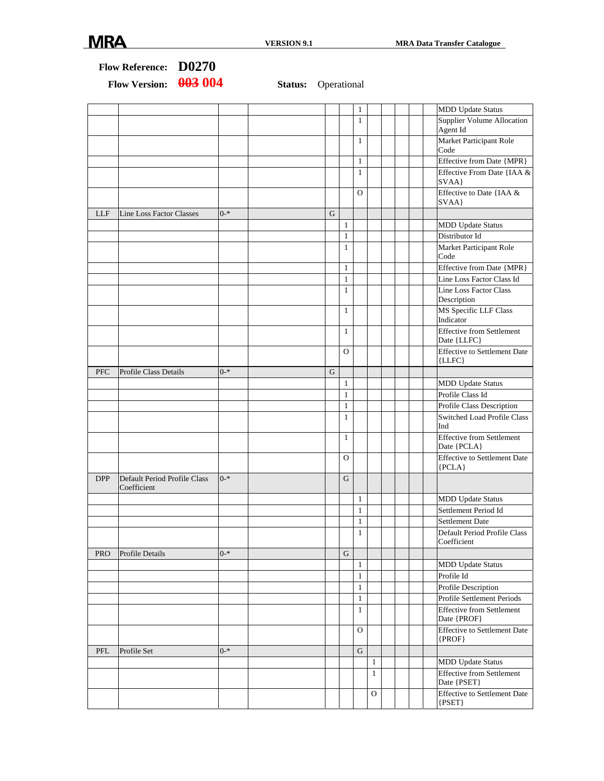|            | Flow Reference: D0270<br>003 004<br><b>Flow Version:</b> |         | <b>Status:</b> Operational |           |                              |                |                              |  |     |                                                                |
|------------|----------------------------------------------------------|---------|----------------------------|-----------|------------------------------|----------------|------------------------------|--|-----|----------------------------------------------------------------|
|            |                                                          |         |                            |           |                              |                |                              |  |     |                                                                |
|            |                                                          |         |                            |           |                              | $\mathbf{1}$   |                              |  |     | <b>MDD Update Status</b>                                       |
|            |                                                          |         |                            |           |                              | $\mathbf{1}$   |                              |  |     | Supplier Volume Allocation<br>Agent Id                         |
|            |                                                          |         |                            |           |                              | 1              |                              |  |     | Market Participant Role<br>Code                                |
|            |                                                          |         |                            |           |                              | $\mathbf{1}$   |                              |  |     | Effective from Date {MPR}                                      |
|            |                                                          |         |                            |           |                              | 1              |                              |  |     | Effective From Date {IAA &<br>SVAA}                            |
|            |                                                          |         |                            |           |                              | $\overline{O}$ |                              |  |     | Effective to Date {IAA &<br>SVAA}                              |
| <b>LLF</b> | Line Loss Factor Classes                                 | $0 - *$ |                            | ${\bf G}$ |                              |                |                              |  |     |                                                                |
|            |                                                          |         |                            |           | $\mathbf{1}$                 |                |                              |  |     | <b>MDD Update Status</b>                                       |
|            |                                                          |         |                            |           | $\mathbf{1}$                 |                |                              |  |     | Distributor Id                                                 |
|            |                                                          |         |                            |           | $\mathbf{1}$                 |                |                              |  |     | Market Participant Role<br>Code                                |
|            |                                                          |         |                            |           | $\mathbf{1}$                 |                |                              |  |     | Effective from Date {MPR}                                      |
|            |                                                          |         |                            |           | $\mathbf{1}$                 |                |                              |  |     | Line Loss Factor Class Id                                      |
|            |                                                          |         |                            |           | $\mathbf{1}$                 |                |                              |  |     | Line Loss Factor Class<br>Description                          |
|            |                                                          |         |                            |           | $\mathbf{1}$                 |                |                              |  |     | MS Specific LLF Class<br>Indicator                             |
|            |                                                          |         |                            |           | $\mathbf{1}$                 |                |                              |  |     | <b>Effective from Settlement</b><br>Date {LLFC}                |
|            |                                                          |         |                            |           | O                            |                |                              |  |     | <b>Effective to Settlement Date</b><br>${LLFC}$                |
| <b>PFC</b> | Profile Class Details                                    | $0 - *$ |                            | ${\bf G}$ |                              |                |                              |  |     |                                                                |
|            |                                                          |         |                            |           | $\mathbf{1}$                 |                |                              |  |     | <b>MDD Update Status</b>                                       |
|            |                                                          |         |                            |           | $\mathbf{1}$                 |                |                              |  |     | Profile Class Id                                               |
|            |                                                          |         |                            |           | $\mathbf{1}$<br>$\mathbf{1}$ |                |                              |  |     | Profile Class Description<br>Switched Load Profile Class       |
|            |                                                          |         |                            |           | $\mathbf{1}$                 |                |                              |  | Ind | <b>Effective from Settlement</b><br>Date {PCLA}                |
|            |                                                          |         |                            |           | O                            |                |                              |  |     | <b>Effective to Settlement Date</b><br>${PCLA}$                |
| <b>DPP</b> | Default Period Profile Class<br>Coefficient              | $0 - *$ |                            |           | G                            |                |                              |  |     |                                                                |
|            |                                                          |         |                            |           |                              | $\,1$          |                              |  |     | <b>MDD</b> Update Status                                       |
|            |                                                          |         |                            |           |                              | $\mathbf{1}$   |                              |  |     | Settlement Period Id                                           |
|            |                                                          |         |                            |           |                              | $\mathbf{1}$   |                              |  |     | Settlement Date                                                |
|            |                                                          |         |                            |           |                              | $\mathbf{1}$   |                              |  |     | Default Period Profile Class<br>Coefficient                    |
| <b>PRO</b> | Profile Details                                          | $0 - *$ |                            |           | G                            |                |                              |  |     |                                                                |
|            |                                                          |         |                            |           |                              | 1              |                              |  |     | <b>MDD Update Status</b>                                       |
|            |                                                          |         |                            |           |                              | 1              |                              |  |     | Profile Id                                                     |
|            |                                                          |         |                            |           |                              | 1              |                              |  |     | Profile Description                                            |
|            |                                                          |         |                            |           |                              | $\mathbf{1}$   |                              |  |     | Profile Settlement Periods<br><b>Effective from Settlement</b> |
|            |                                                          |         |                            |           |                              | $\mathbf{1}$   |                              |  |     | Date {PROF}                                                    |
|            |                                                          |         |                            |           |                              | O              |                              |  |     | <b>Effective to Settlement Date</b><br>$\{PROF\}$              |
| PFL        | Profile Set                                              | $0 - *$ |                            |           |                              | G              |                              |  |     |                                                                |
|            |                                                          |         |                            |           |                              |                | $\mathbf{1}$<br>$\mathbf{1}$ |  |     | <b>MDD Update Status</b><br>Effective from Settlement          |
|            |                                                          |         |                            |           |                              |                | $\mathcal{O}$                |  |     | Date {PSET}<br><b>Effective to Settlement Date</b>             |
|            |                                                          |         |                            |           |                              |                |                              |  |     | ${PSET}$                                                       |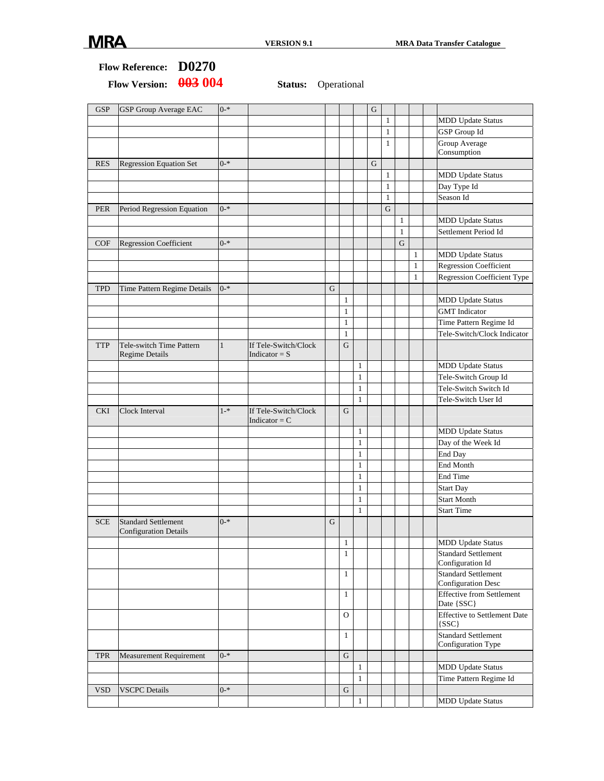### **Flow Reference: D0270**  Flow Version:  $\frac{0.03}{0.04}$  Status: Operational

| <b>GSP</b> | <b>GSP</b> Group Average EAC               | $0 - *$      |                                         |   |              |              | $\mathbf G$ |              |              |              |                                                  |
|------------|--------------------------------------------|--------------|-----------------------------------------|---|--------------|--------------|-------------|--------------|--------------|--------------|--------------------------------------------------|
|            |                                            |              |                                         |   |              |              |             | $\mathbf{1}$ |              |              | <b>MDD Update Status</b>                         |
|            |                                            |              |                                         |   |              |              |             | $\mathbf{1}$ |              |              | <b>GSP</b> Group Id                              |
|            |                                            |              |                                         |   |              |              |             | $\mathbf{1}$ |              |              | Group Average                                    |
|            |                                            |              |                                         |   |              |              |             |              |              |              | Consumption                                      |
| <b>RES</b> | <b>Regression Equation Set</b>             | $0 - *$      |                                         |   |              |              | $\mathbf G$ |              |              |              |                                                  |
|            |                                            |              |                                         |   |              |              |             | 1            |              |              | <b>MDD Update Status</b>                         |
|            |                                            |              |                                         |   |              |              |             | $\mathbf{1}$ |              |              | Day Type Id                                      |
|            |                                            |              |                                         |   |              |              |             | $\mathbf{1}$ |              |              | Season Id                                        |
| <b>PER</b> | Period Regression Equation                 | $0 - *$      |                                         |   |              |              |             | $\mathbf G$  |              |              |                                                  |
|            |                                            |              |                                         |   |              |              |             |              | $\mathbf{1}$ |              | <b>MDD Update Status</b>                         |
|            |                                            |              |                                         |   |              |              |             |              | 1            |              | Settlement Period Id                             |
| COF        | Regression Coefficient                     | $0 - *$      |                                         |   |              |              |             |              | G            |              |                                                  |
|            |                                            |              |                                         |   |              |              |             |              |              | $\mathbf{1}$ | <b>MDD</b> Update Status                         |
|            |                                            |              |                                         |   |              |              |             |              |              | $\mathbf{1}$ | Regression Coefficient                           |
|            |                                            |              |                                         |   |              |              |             |              |              | $\mathbf{1}$ | <b>Regression Coefficient Type</b>               |
| <b>TPD</b> | Time Pattern Regime Details                | $0 - *$      |                                         | G |              |              |             |              |              |              |                                                  |
|            |                                            |              |                                         |   | $\mathbf{1}$ |              |             |              |              |              | <b>MDD Update Status</b>                         |
|            |                                            |              |                                         |   | 1            |              |             |              |              |              | <b>GMT</b> Indicator                             |
|            |                                            |              |                                         |   | $\mathbf{1}$ |              |             |              |              |              | Time Pattern Regime Id                           |
|            |                                            |              |                                         |   | $\mathbf{1}$ |              |             |              |              |              | Tele-Switch/Clock Indicator                      |
| <b>TTP</b> | Tele-switch Time Pattern<br>Regime Details | $\mathbf{1}$ | If Tele-Switch/Clock<br>Indicator = $S$ |   | $\mathbf G$  |              |             |              |              |              |                                                  |
|            |                                            |              |                                         |   |              | $\mathbf{1}$ |             |              |              |              | <b>MDD Update Status</b>                         |
|            |                                            |              |                                         |   |              | 1            |             |              |              |              | Tele-Switch Group Id                             |
|            |                                            |              |                                         |   |              | 1            |             |              |              |              | Tele-Switch Switch Id                            |
|            |                                            |              |                                         |   |              | $\mathbf{1}$ |             |              |              |              | Tele-Switch User Id                              |
| <b>CKI</b> | Clock Interval                             | $1 - *$      | If Tele-Switch/Clock<br>Indicator = $C$ |   | G            |              |             |              |              |              |                                                  |
|            |                                            |              |                                         |   |              | $\mathbf{1}$ |             |              |              |              | <b>MDD</b> Update Status                         |
|            |                                            |              |                                         |   |              | 1            |             |              |              |              | Day of the Week Id                               |
|            |                                            |              |                                         |   |              | 1            |             |              |              |              | End Day                                          |
|            |                                            |              |                                         |   |              | 1            |             |              |              |              | End Month                                        |
|            |                                            |              |                                         |   |              | 1            |             |              |              |              | End Time                                         |
|            |                                            |              |                                         |   |              | $\mathbf{1}$ |             |              |              |              | <b>Start Day</b>                                 |
|            |                                            |              |                                         |   |              | $\mathbf{1}$ |             |              |              |              | <b>Start Month</b>                               |
|            |                                            |              |                                         |   |              | $\mathbf{1}$ |             |              |              |              | <b>Start Time</b>                                |
| <b>SCE</b> | <b>Standard Settlement</b>                 | $0 - *$      |                                         | G |              |              |             |              |              |              |                                                  |
|            | <b>Configuration Details</b>               |              |                                         |   |              |              |             |              |              |              |                                                  |
|            |                                            |              |                                         |   | $\mathbf{1}$ |              |             |              |              |              | <b>MDD Update Status</b>                         |
|            |                                            |              |                                         |   | $\mathbf{1}$ |              |             |              |              |              | <b>Standard Settlement</b>                       |
|            |                                            |              |                                         |   |              |              |             |              |              |              | Configuration Id                                 |
|            |                                            |              |                                         |   | $\mathbf{1}$ |              |             |              |              |              | <b>Standard Settlement</b>                       |
|            |                                            |              |                                         |   |              |              |             |              |              |              | Configuration Desc                               |
|            |                                            |              |                                         |   | $\mathbf{1}$ |              |             |              |              |              | <b>Effective from Settlement</b><br>Date {SSC}   |
|            |                                            |              |                                         |   | O            |              |             |              |              |              | Effective to Settlement Date<br>${SSC}$          |
|            |                                            |              |                                         |   | $\mathbf{1}$ |              |             |              |              |              | <b>Standard Settlement</b><br>Configuration Type |
| <b>TPR</b> | <b>Measurement Requirement</b>             | $0 - *$      |                                         |   | G            |              |             |              |              |              |                                                  |
|            |                                            |              |                                         |   |              | $\mathbf{1}$ |             |              |              |              | <b>MDD Update Status</b>                         |
|            |                                            |              |                                         |   |              |              |             |              |              |              |                                                  |
|            |                                            |              |                                         |   |              | $\mathbf{1}$ |             |              |              |              | Time Pattern Regime Id                           |
| <b>VSD</b> | <b>VSCPC</b> Details                       | $0 - *$      |                                         |   | G            |              |             |              |              |              |                                                  |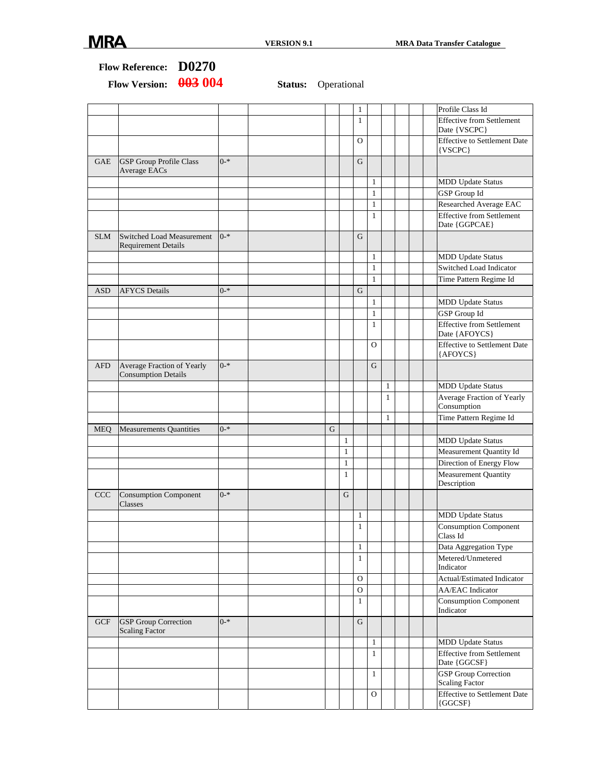| <b>Flow Reference:</b> | D0270 |
|------------------------|-------|
|------------------------|-------|

|            |                                                          |         |   |              | 1            |              |              |  | Profile Class Id                                  |
|------------|----------------------------------------------------------|---------|---|--------------|--------------|--------------|--------------|--|---------------------------------------------------|
|            |                                                          |         |   |              | $\mathbf{1}$ |              |              |  | <b>Effective from Settlement</b><br>Date {VSCPC}  |
|            |                                                          |         |   |              | $\Omega$     |              |              |  | <b>Effective to Settlement Date</b><br>{VSCPC}    |
| <b>GAE</b> | <b>GSP Group Profile Class</b><br>Average EACs           | $0 - *$ |   |              | G            |              |              |  |                                                   |
|            |                                                          |         |   |              |              | $\mathbf{1}$ |              |  | <b>MDD Update Status</b>                          |
|            |                                                          |         |   |              |              | $\mathbf{1}$ |              |  | <b>GSP</b> Group Id                               |
|            |                                                          |         |   |              |              | $\mathbf{1}$ |              |  | Researched Average EAC                            |
|            |                                                          |         |   |              |              | $\mathbf{1}$ |              |  | <b>Effective from Settlement</b><br>Date {GGPCAE} |
| <b>SLM</b> | Switched Load Measurement<br><b>Requirement Details</b>  | $0 - *$ |   |              | G            |              |              |  |                                                   |
|            |                                                          |         |   |              |              | 1            |              |  | <b>MDD</b> Update Status                          |
|            |                                                          |         |   |              |              | $\mathbf{1}$ |              |  | Switched Load Indicator                           |
|            |                                                          |         |   |              |              | $\mathbf{1}$ |              |  | Time Pattern Regime Id                            |
| <b>ASD</b> | <b>AFYCS</b> Details                                     | $0 - *$ |   |              | $\mathbf G$  |              |              |  |                                                   |
|            |                                                          |         |   |              |              | $\mathbf{1}$ |              |  | <b>MDD</b> Update Status                          |
|            |                                                          |         |   |              |              | $\mathbf{1}$ |              |  | <b>GSP</b> Group Id                               |
|            |                                                          |         |   |              |              | $\mathbf{1}$ |              |  | <b>Effective from Settlement</b><br>Date {AFOYCS} |
|            |                                                          |         |   |              |              | O            |              |  | <b>Effective to Settlement Date</b><br>{AFOYCS}   |
| <b>AFD</b> | Average Fraction of Yearly<br><b>Consumption Details</b> | $0 - *$ |   |              |              | G            |              |  |                                                   |
|            |                                                          |         |   |              |              |              | $\mathbf{1}$ |  | <b>MDD Update Status</b>                          |
|            |                                                          |         |   |              |              |              | $\mathbf{1}$ |  | Average Fraction of Yearly<br>Consumption         |
|            |                                                          |         |   |              |              |              | 1            |  | Time Pattern Regime Id                            |
| <b>MEQ</b> | <b>Measurements Quantities</b>                           | $0 - *$ | G |              |              |              |              |  |                                                   |
|            |                                                          |         |   | $\mathbf{1}$ |              |              |              |  | <b>MDD Update Status</b>                          |
|            |                                                          |         |   | $\mathbf{1}$ |              |              |              |  | Measurement Quantity Id                           |
|            |                                                          |         |   | $\mathbf{1}$ |              |              |              |  | Direction of Energy Flow                          |
|            |                                                          |         |   | $\mathbf{1}$ |              |              |              |  | Measurement Quantity<br>Description               |
| CCC        | <b>Consumption Component</b><br>Classes                  | $0 - *$ |   | G            |              |              |              |  |                                                   |
|            |                                                          |         |   |              | 1            |              |              |  | <b>MDD Update Status</b>                          |
|            |                                                          |         |   |              | $\mathbf{1}$ |              |              |  | <b>Consumption Component</b><br>Class Id          |
|            |                                                          |         |   |              | $\,1$        |              |              |  | Data Aggregation Type                             |
|            |                                                          |         |   |              | $\mathbf{1}$ |              |              |  | Metered/Unmetered<br>Indicator                    |
|            |                                                          |         |   |              | $\mathbf{O}$ |              |              |  | Actual/Estimated Indicator                        |
|            |                                                          |         |   |              | 0            |              |              |  | <b>AA/EAC</b> Indicator                           |
|            |                                                          |         |   |              | 1            |              |              |  | <b>Consumption Component</b><br>Indicator         |
| GCF        | <b>GSP</b> Group Correction<br><b>Scaling Factor</b>     | $0 - *$ |   |              | G            |              |              |  |                                                   |
|            |                                                          |         |   |              |              | $\mathbf{1}$ |              |  | <b>MDD</b> Update Status                          |
|            |                                                          |         |   |              |              | $\mathbf{1}$ |              |  | <b>Effective from Settlement</b><br>Date {GGCSF}  |
|            |                                                          |         |   |              |              | $\mathbf{1}$ |              |  | <b>GSP</b> Group Correction<br>Scaling Factor     |
|            |                                                          |         |   |              |              | О            |              |  | Effective to Settlement Date<br>${GGCSF}$         |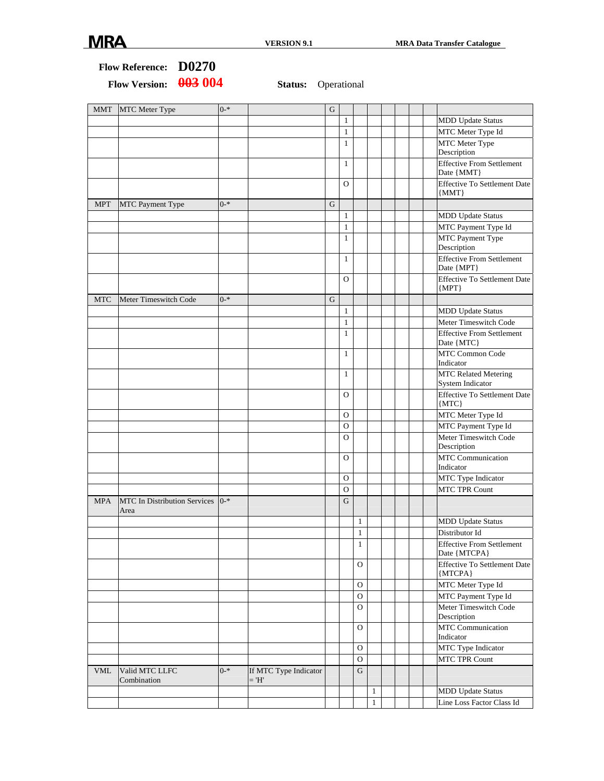1 Line Loss Factor Class Id

#### **Flow Reference: D0270**  Flow Version:  $\frac{0.03}{0.04}$  Status: Operational MMT MTC Meter Type 0-\* G 1 | | | | | | | | | MDD Update Status 1 | | | | | | | | | MTC Meter Type Id 1 MTC Meter Type Description 1 | | | | Effective From Settlement Date {MMT} O | | | | Effective To Settlement Date {MMT} MPT MTC Payment Type 0-\* G 1 | | | | | | | | | | MDD Update Status 1 MTC Payment Type Id 1 MTC Payment Type Description 1 **Effective From Settlement** Date {MPT} O Effective To Settlement Date {MPT} MTC Meter Timeswitch Code  $\begin{vmatrix} 0^{-*} \\ 0^{-*} \end{vmatrix}$  G 1 MDD Update Status 1 Meter Timeswitch Code 1 Effective From Settlement Date {MTC} 1 MTC Common Code Indicator 1 MTC Related Metering System Indicator O | | | | | Effective To Settlement Date {MTC} O | | | | | MTC Meter Type Id O | | | | | | | | | | | MTC Payment Type Id O | | | | | Meter Timeswitch Code Description O MTC Communication Indicator O MTC Type Indicator O | | | | | | | | MTC TPR Count MPA MTC In Distribution Services 0-\* Area 0-\* G 1 MDD Update Status 1 Distributor Id 1 Effective From Settlement Date {MTCPA} O | | | Effective To Settlement Date {MTCPA} O MTC Meter Type Id O | | | | | | | | | MTC Payment Type Id O Meter Timeswitch Code Description O MTC Communication Indicator O | | | | | | | | MTC Type Indicator O MTC TPR Count VML Valid MTC LLFC Combination 0-\* If MTC Type Indicator  $=$  'H' G 1 MDD Update Status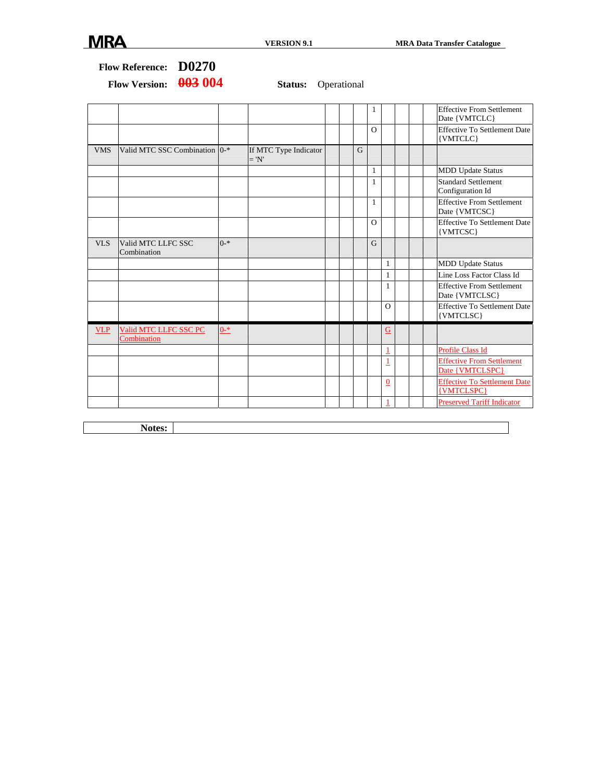## **Flow Reference: D0270**

Flow Version:  $\frac{0.03}{0.04}$  Status: Operational

|            |                                      |                  |                                  |                | 1            |          | <b>Effective From Settlement</b><br>Date {VMTCLC}   |
|------------|--------------------------------------|------------------|----------------------------------|----------------|--------------|----------|-----------------------------------------------------|
|            |                                      |                  |                                  |                | $\Omega$     |          | <b>Effective To Settlement Date</b><br>{VMTCLC}     |
| <b>VMS</b> | Valid MTC SSC Combination 0-*        |                  | If MTC Type Indicator<br>$= 'N'$ | $\overline{G}$ |              |          |                                                     |
|            |                                      |                  |                                  |                | $\mathbf{1}$ |          | <b>MDD Update Status</b>                            |
|            |                                      |                  |                                  |                | 1            |          | <b>Standard Settlement</b><br>Configuration Id      |
|            |                                      |                  |                                  |                | $\mathbf{1}$ |          | <b>Effective From Settlement</b><br>Date {VMTCSC}   |
|            |                                      |                  |                                  |                | $\Omega$     |          | <b>Effective To Settlement Date</b><br>{VMTCSC}     |
| <b>VLS</b> | Valid MTC LLFC SSC<br>Combination    | $0$ <sup>*</sup> |                                  |                | $\mathbf G$  |          |                                                     |
|            |                                      |                  |                                  |                |              | 1        | <b>MDD Update Status</b>                            |
|            |                                      |                  |                                  |                |              | 1        | Line Loss Factor Class Id                           |
|            |                                      |                  |                                  |                |              | 1        | <b>Effective From Settlement</b><br>Date {VMTCLSC}  |
|            |                                      |                  |                                  |                |              | $\Omega$ | <b>Effective To Settlement Date</b><br>{VMTCLSC}    |
| <b>VLP</b> | Valid MTC LLFC SSC PC<br>Combination | $0 - *$          |                                  |                |              | G        |                                                     |
|            |                                      |                  |                                  |                |              | 1        | <b>Profile Class Id</b>                             |
|            |                                      |                  |                                  |                |              | 1        | <b>Effective From Settlement</b><br>Date {VMTCLSPC} |
|            |                                      |                  |                                  |                |              | 0        | <b>Effective To Settlement Date</b><br>{VMTCLSPC}   |
|            |                                      |                  |                                  |                |              |          | <b>Preserved Tariff Indicator</b>                   |

**Notes:**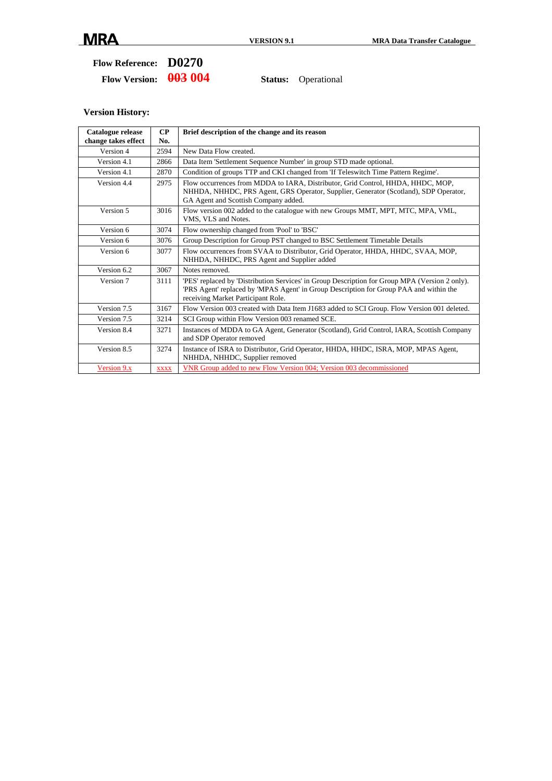#### **Flow Reference: D0270**  Flow Version:  $\frac{0.03}{0.04}$  Status: Operational

| Catalogue release<br>change takes effect | $\bf CP$<br>No. | Brief description of the change and its reason                                                                                                                                                                                |
|------------------------------------------|-----------------|-------------------------------------------------------------------------------------------------------------------------------------------------------------------------------------------------------------------------------|
| Version 4                                | 2594            | New Data Flow created.                                                                                                                                                                                                        |
| Version 4.1                              | 2866            | Data Item 'Settlement Sequence Number' in group STD made optional.                                                                                                                                                            |
| Version 4.1                              | 2870            | Condition of groups TTP and CKI changed from 'If Teleswitch Time Pattern Regime'.                                                                                                                                             |
| Version 4.4                              | 2975            | Flow occurrences from MDDA to IARA, Distributor, Grid Control, HHDA, HHDC, MOP,<br>NHHDA, NHHDC, PRS Agent, GRS Operator, Supplier, Generator (Scotland), SDP Operator,<br>GA Agent and Scottish Company added.               |
| Version 5                                | 3016            | Flow version 002 added to the catalogue with new Groups MMT, MPT, MTC, MPA, VML,<br>VMS, VLS and Notes.                                                                                                                       |
| Version 6                                | 3074            | Flow ownership changed from 'Pool' to 'BSC'                                                                                                                                                                                   |
| Version 6                                | 3076            | Group Description for Group PST changed to BSC Settlement Timetable Details                                                                                                                                                   |
| Version 6                                | 3077            | Flow occurrences from SVAA to Distributor, Grid Operator, HHDA, HHDC, SVAA, MOP,<br>NHHDA, NHHDC, PRS Agent and Supplier added                                                                                                |
| Version 6.2                              | 3067            | Notes removed.                                                                                                                                                                                                                |
| Version 7                                | 3111            | 'PES' replaced by 'Distribution Services' in Group Description for Group MPA (Version 2 only).<br>PRS Agent' replaced by 'MPAS Agent' in Group Description for Group PAA and within the<br>receiving Market Participant Role. |
| Version 7.5                              | 3167            | Flow Version 003 created with Data Item J1683 added to SCI Group. Flow Version 001 deleted.                                                                                                                                   |
| Version 7.5                              | 3214            | SCI Group within Flow Version 003 renamed SCE.                                                                                                                                                                                |
| Version 8.4                              | 3271            | Instances of MDDA to GA Agent, Generator (Scotland), Grid Control, IARA, Scottish Company<br>and SDP Operator removed                                                                                                         |
| Version 8.5                              | 3274            | Instance of ISRA to Distributor, Grid Operator, HHDA, HHDC, ISRA, MOP, MPAS Agent,<br>NHHDA, NHHDC, Supplier removed                                                                                                          |
| Version 9.x                              | <b>XXXX</b>     | VNR Group added to new Flow Version 004; Version 003 decommissioned                                                                                                                                                           |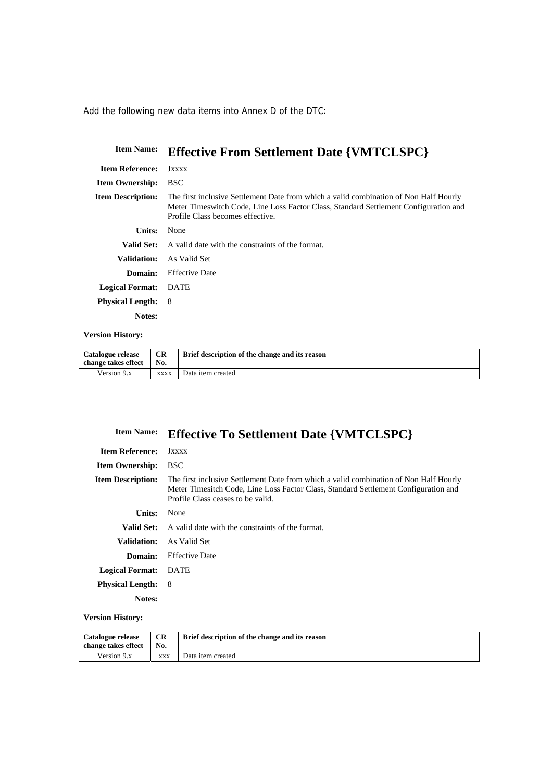Add the following new data items into Annex D of the DTC:

| <b>Item Name:</b>        | <b>Effective From Settlement Date {VMTCLSPC}</b>                                                                                                                                                                  |
|--------------------------|-------------------------------------------------------------------------------------------------------------------------------------------------------------------------------------------------------------------|
| <b>Item Reference:</b>   | Jxxxx                                                                                                                                                                                                             |
| <b>Item Ownership:</b>   | <b>BSC</b>                                                                                                                                                                                                        |
| <b>Item Description:</b> | The first inclusive Settlement Date from which a valid combination of Non Half Hourly<br>Meter Timeswitch Code, Line Loss Factor Class, Standard Settlement Configuration and<br>Profile Class becomes effective. |
| Units:                   | None                                                                                                                                                                                                              |
| <b>Valid Set:</b>        | A valid date with the constraints of the format.                                                                                                                                                                  |
| Validation:              | As Valid Set                                                                                                                                                                                                      |
| Domain:                  | <b>Effective Date</b>                                                                                                                                                                                             |
| <b>Logical Format:</b>   | <b>DATE</b>                                                                                                                                                                                                       |
| <b>Physical Length:</b>  | 8                                                                                                                                                                                                                 |
| Notes:                   |                                                                                                                                                                                                                   |

#### **Version History:**

| Catalogue release<br>change takes effect | <b>CR</b><br>No. | Brief description of the change and its reason |
|------------------------------------------|------------------|------------------------------------------------|
| Version 9.x                              | <b>XXXX</b>      | Data item created                              |

## **Item Name: Effective To Settlement Date {VMTCLSPC}**

| <b>Item Reference:</b>   | Jxxxx                                                                                                                                                                                                             |
|--------------------------|-------------------------------------------------------------------------------------------------------------------------------------------------------------------------------------------------------------------|
| <b>Item Ownership:</b>   | <b>BSC</b>                                                                                                                                                                                                        |
| <b>Item Description:</b> | The first inclusive Settlement Date from which a valid combination of Non Half Hourly<br>Meter Timesitch Code, Line Loss Factor Class, Standard Settlement Configuration and<br>Profile Class ceases to be valid. |
| Units:                   | None                                                                                                                                                                                                              |
| <b>Valid Set:</b>        | A valid date with the constraints of the format.                                                                                                                                                                  |
| Validation:              | As Valid Set                                                                                                                                                                                                      |
| Domain:                  | <b>Effective Date</b>                                                                                                                                                                                             |
| <b>Logical Format:</b>   | DATE                                                                                                                                                                                                              |
| <b>Physical Length:</b>  | - 8                                                                                                                                                                                                               |
| Notes:                   |                                                                                                                                                                                                                   |

| Catalogue release<br>change takes effect | <b>CR</b><br>No. | Brief description of the change and its reason |
|------------------------------------------|------------------|------------------------------------------------|
| Version 9.x                              | <b>XXX</b>       | Data item created                              |